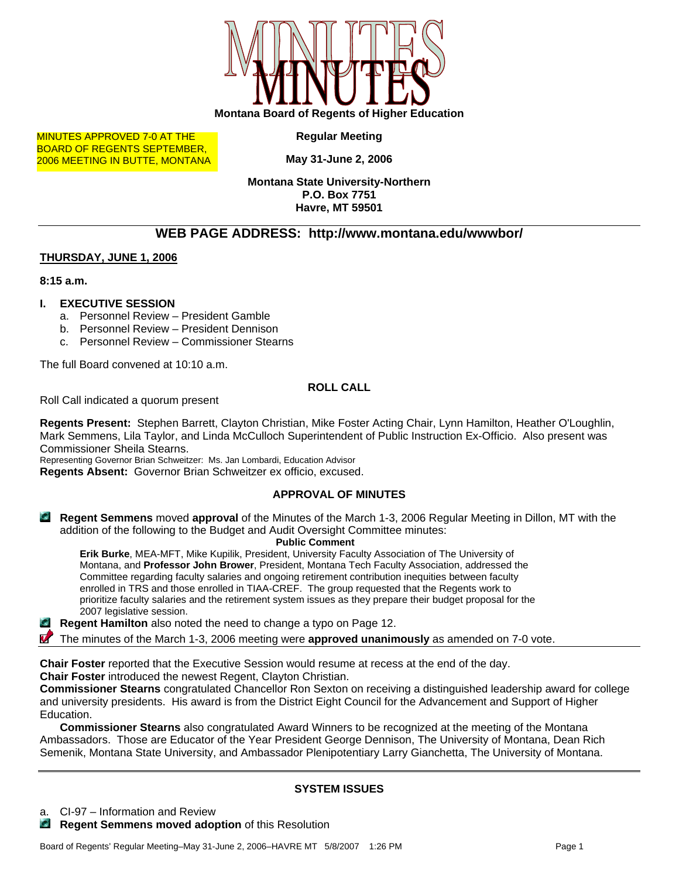

MINUTES APPROVED 7-0 AT THE BOARD OF REGENTS SEPTEMBER, 2006 MEETING IN BUTTE, MONTANA **Regular Meeting** 

**May 31-June 2, 2006** 

**Montana State University-Northern P.O. Box 7751 Havre, MT 59501** 

# **WEB PAGE ADDRESS: http://www.montana.edu/wwwbor/**

#### **THURSDAY, JUNE 1, 2006**

**8:15 a.m.** 

#### **I. EXECUTIVE SESSION**

- a. Personnel Review President Gamble
- b. Personnel Review President Dennison
- c. Personnel Review Commissioner Stearns

The full Board convened at 10:10 a.m.

#### **ROLL CALL**

Roll Call indicated a quorum present

**Regents Present:** Stephen Barrett, Clayton Christian, Mike Foster Acting Chair, Lynn Hamilton, Heather O'Loughlin, Mark Semmens, Lila Taylor, and Linda McCulloch Superintendent of Public Instruction Ex-Officio. Also present was Commissioner Sheila Stearns.

Representing Governor Brian Schweitzer: Ms. Jan Lombardi, Education Advisor

**Regents Absent:** Governor Brian Schweitzer ex officio, excused.

# **APPROVAL OF MINUTES**

**Regent Semmens** moved **approval** of the Minutes of the March 1-3, 2006 Regular Meeting in Dillon, MT with the addition of the following to the Budget and Audit Oversight Committee minutes:

**Public Comment** 

**Erik Burke**, MEA-MFT, Mike Kupilik, President, University Faculty Association of The University of Montana, and **Professor John Brower**, President, Montana Tech Faculty Association, addressed the Committee regarding faculty salaries and ongoing retirement contribution inequities between faculty enrolled in TRS and those enrolled in TIAA-CREF. The group requested that the Regents work to prioritize faculty salaries and the retirement system issues as they prepare their budget proposal for the 2007 legislative session.

**Regent Hamilton** also noted the need to change a typo on Page 12.

The minutes of the March 1-3, 2006 meeting were **approved unanimously** as amended on 7-0 vote.

**Chair Foster** reported that the Executive Session would resume at recess at the end of the day. **Chair Foster** introduced the newest Regent, Clayton Christian.

**Commissioner Stearns** congratulated Chancellor Ron Sexton on receiving a distinguished leadership award for college and university presidents. His award is from the District Eight Council for the Advancement and Support of Higher Education.

**Commissioner Stearns** also congratulated Award Winners to be recognized at the meeting of the Montana Ambassadors. Those are Educator of the Year President George Dennison, The University of Montana, Dean Rich Semenik, Montana State University, and Ambassador Plenipotentiary Larry Gianchetta, The University of Montana.

# **SYSTEM ISSUES**

- CI-97 Information and Review
- **Regent Semmens moved adoption** of this Resolution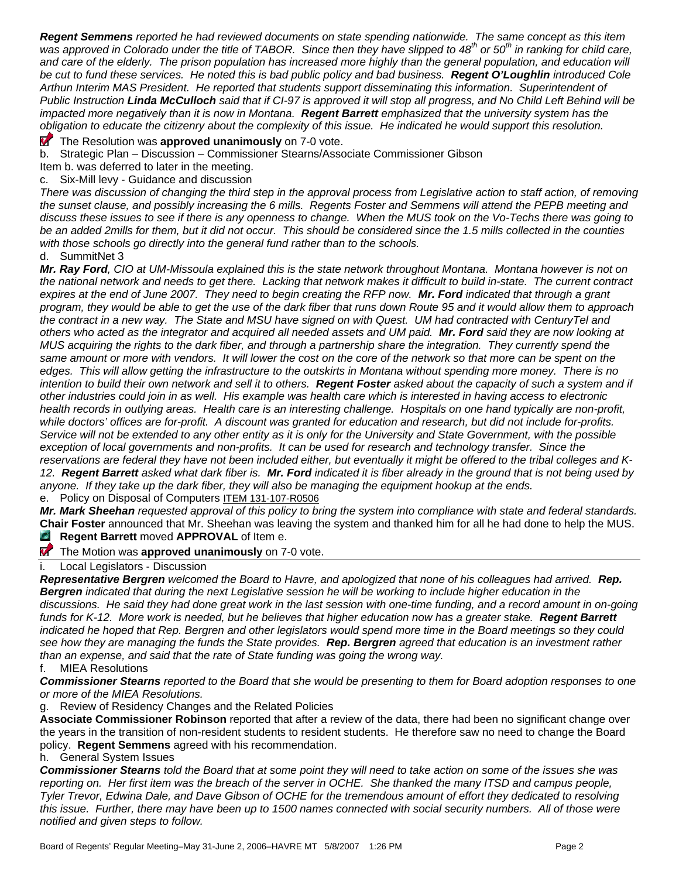*Regent Semmens reported he had reviewed documents on state spending nationwide. The same concept as this item was approved in Colorado under the title of TABOR. Since then they have slipped to 48th or 50th in ranking for child care,*  and care of the elderly. The prison population has increased more highly than the general population, and education will *be cut to fund these services. He noted this is bad public policy and bad business. Regent O'Loughlin introduced Cole Arthun Interim MAS President. He reported that students support disseminating this information. Superintendent of Public Instruction Linda McCulloch said that if CI-97 is approved it will stop all progress, and No Child Left Behind will be impacted more negatively than it is now in Montana. Regent Barrett emphasized that the university system has the obligation to educate the citizenry about the complexity of this issue. He indicated he would support this resolution.* 

**T** The Resolution was approved unanimously on 7-0 vote.

b. Strategic Plan – Discussion – Commissioner Stearns/Associate Commissioner Gibson

Item b. was deferred to later in the meeting.

c. Six-Mill levy - Guidance and discussion

*There was discussion of changing the third step in the approval process from Legislative action to staff action, of removing*  the sunset clause, and possibly increasing the 6 mills. Regents Foster and Semmens will attend the PEPB meeting and *discuss these issues to see if there is any openness to change. When the MUS took on the Vo-Techs there was going to*  be an added 2mills for them, but it did not occur. This should be considered since the 1.5 mills collected in the counties *with those schools go directly into the general fund rather than to the schools.* 

d. SummitNet 3

*Mr. Ray Ford, CIO at UM-Missoula explained this is the state network throughout Montana. Montana however is not on the national network and needs to get there. Lacking that network makes it difficult to build in-state. The current contract expires at the end of June 2007. They need to begin creating the RFP now. Mr. Ford indicated that through a grant program, they would be able to get the use of the dark fiber that runs down Route 95 and it would allow them to approach the contract in a new way. The State and MSU have signed on with Quest. UM had contracted with CenturyTel and others who acted as the integrator and acquired all needed assets and UM paid. Mr. Ford said they are now looking at MUS acquiring the rights to the dark fiber, and through a partnership share the integration. They currently spend the*  same amount or more with vendors. It will lower the cost on the core of the network so that more can be spent on the *edges. This will allow getting the infrastructure to the outskirts in Montana without spending more money. There is no intention to build their own network and sell it to others. Regent Foster asked about the capacity of such a system and if other industries could join in as well. His example was health care which is interested in having access to electronic health records in outlying areas. Health care is an interesting challenge. Hospitals on one hand typically are non-profit, while doctors' offices are for-profit. A discount was granted for education and research, but did not include for-profits. Service will not be extended to any other entity as it is only for the University and State Government, with the possible*  exception of local governments and non-profits. It can be used for research and technology transfer. Since the *reservations are federal they have not been included either, but eventually it might be offered to the tribal colleges and K-12. Regent Barrett asked what dark fiber is. Mr. Ford indicated it is fiber already in the ground that is not being used by anyone. If they take up the dark fiber, they will also be managing the equipment hookup at the ends.*  e. Policy on Disposal of Computers ITEM 131-107-R0506

*Mr. Mark Sheehan requested approval of this policy to bring the system into compliance with state and federal standards.*  **Chair Foster** announced that Mr. Sheehan was leaving the system and thanked him for all he had done to help the MUS. **Regent Barrett** moved **APPROVAL** of Item e.

**The Motion was approved unanimously** on 7-0 vote.

i. Local Legislators - Discussion

*Representative Bergren welcomed the Board to Havre, and apologized that none of his colleagues had arrived. Rep. Bergren indicated that during the next Legislative session he will be working to include higher education in the discussions. He said they had done great work in the last session with one-time funding, and a record amount in on-going funds for K-12. More work is needed, but he believes that higher education now has a greater stake. Regent Barrett* indicated he hoped that Rep. Bergren and other legislators would spend more time in the Board meetings so they could *see how they are managing the funds the State provides. Rep. Bergren agreed that education is an investment rather than an expense, and said that the rate of State funding was going the wrong way.* 

f. MIEA Resolutions

*Commissioner Stearns reported to the Board that she would be presenting to them for Board adoption responses to one or more of the MIEA Resolutions.* 

g. Review of Residency Changes and the Related Policies

**Associate Commissioner Robinson** reported that after a review of the data, there had been no significant change over the years in the transition of non-resident students to resident students. He therefore saw no need to change the Board policy. **Regent Semmens** agreed with his recommendation.

h. General System Issues

*Commissioner Stearns told the Board that at some point they will need to take action on some of the issues she was*  reporting on. Her first item was the breach of the server in OCHE. She thanked the many ITSD and campus people, *Tyler Trevor, Edwina Dale, and Dave Gibson of OCHE for the tremendous amount of effort they dedicated to resolving this issue. Further, there may have been up to 1500 names connected with social security numbers. All of those were notified and given steps to follow.*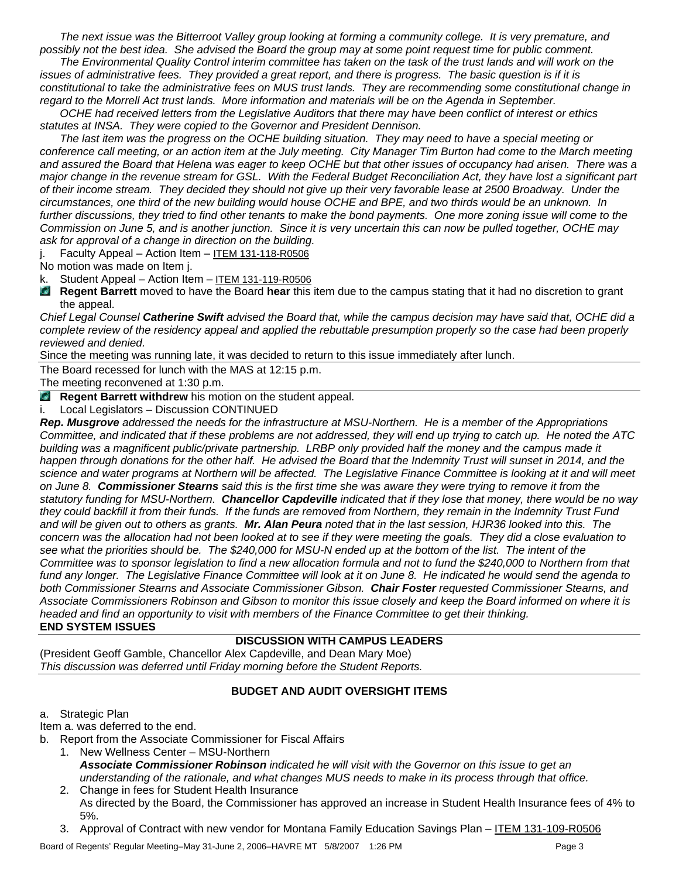*The next issue was the Bitterroot Valley group looking at forming a community college. It is very premature, and possibly not the best idea. She advised the Board the group may at some point request time for public comment.* 

*The Environmental Quality Control interim committee has taken on the task of the trust lands and will work on the issues of administrative fees. They provided a great report, and there is progress. The basic question is if it is constitutional to take the administrative fees on MUS trust lands. They are recommending some constitutional change in regard to the Morrell Act trust lands. More information and materials will be on the Agenda in September.* 

*OCHE had received letters from the Legislative Auditors that there may have been conflict of interest or ethics statutes at INSA. They were copied to the Governor and President Dennison.* 

*The last item was the progress on the OCHE building situation. They may need to have a special meeting or conference call meeting, or an action item at the July meeting. City Manager Tim Burton had come to the March meeting and assured the Board that Helena was eager to keep OCHE but that other issues of occupancy had arisen. There was a major change in the revenue stream for GSL. With the Federal Budget Reconciliation Act, they have lost a significant part of their income stream. They decided they should not give up their very favorable lease at 2500 Broadway. Under the circumstances, one third of the new building would house OCHE and BPE, and two thirds would be an unknown. In*  further discussions, they tried to find other tenants to make the bond payments. One more zoning issue will come to the *Commission on June 5, and is another junction. Since it is very uncertain this can now be pulled together, OCHE may ask for approval of a change in direction on the building.* 

j. Faculty Appeal – Action Item – ITEM 131-118-R0506

No motion was made on Item j.

k. Student Appeal – Action Item – ITEM 131-119-R0506

**Regent Barrett** moved to have the Board **hear** this item due to the campus stating that it had no discretion to grant the appeal.

*Chief Legal Counsel Catherine Swift advised the Board that, while the campus decision may have said that, OCHE did a complete review of the residency appeal and applied the rebuttable presumption properly so the case had been properly reviewed and denied.* 

Since the meeting was running late, it was decided to return to this issue immediately after lunch.

The Board recessed for lunch with the MAS at 12:15 p.m.

The meeting reconvened at 1:30 p.m.

**Regent Barrett withdrew** his motion on the student appeal.

i. Local Legislators – Discussion CONTINUED

*Rep. Musgrove addressed the needs for the infrastructure at MSU-Northern. He is a member of the Appropriations Committee, and indicated that if these problems are not addressed, they will end up trying to catch up. He noted the ATC building was a magnificent public/private partnership. LRBP only provided half the money and the campus made it happen through donations for the other half. He advised the Board that the Indemnity Trust will sunset in 2014, and the science and water programs at Northern will be affected. The Legislative Finance Committee is looking at it and will meet on June 8. Commissioner Stearns said this is the first time she was aware they were trying to remove it from the statutory funding for MSU-Northern. Chancellor Capdeville indicated that if they lose that money, there would be no way they could backfill it from their funds. If the funds are removed from Northern, they remain in the Indemnity Trust Fund and will be given out to others as grants. Mr. Alan Peura noted that in the last session, HJR36 looked into this. The concern was the allocation had not been looked at to see if they were meeting the goals. They did a close evaluation to*  see what the priorities should be. The \$240,000 for MSU-N ended up at the bottom of the list. The intent of the *Committee was to sponsor legislation to find a new allocation formula and not to fund the \$240,000 to Northern from that fund any longer. The Legislative Finance Committee will look at it on June 8. He indicated he would send the agenda to both Commissioner Stearns and Associate Commissioner Gibson. Chair Foster requested Commissioner Stearns, and Associate Commissioners Robinson and Gibson to monitor this issue closely and keep the Board informed on where it is headed and find an opportunity to visit with members of the Finance Committee to get their thinking.*  **END SYSTEM ISSUES** 

#### **DISCUSSION WITH CAMPUS LEADERS**

(President Geoff Gamble, Chancellor Alex Capdeville, and Dean Mary Moe) *This discussion was deferred until Friday morning before the Student Reports.* 

# **BUDGET AND AUDIT OVERSIGHT ITEMS**

#### a. Strategic Plan

Item a. was deferred to the end.

- b. Report from the Associate Commissioner for Fiscal Affairs
	- 1. New Wellness Center MSU-Northern *Associate Commissioner Robinson indicated he will visit with the Governor on this issue to get an understanding of the rationale, and what changes MUS needs to make in its process through that office.*
	- 2. Change in fees for Student Health Insurance As directed by the Board, the Commissioner has approved an increase in Student Health Insurance fees of 4% to 5%.
	- 3. Approval of Contract with new vendor for Montana Family Education Savings Plan ITEM 131-109-R0506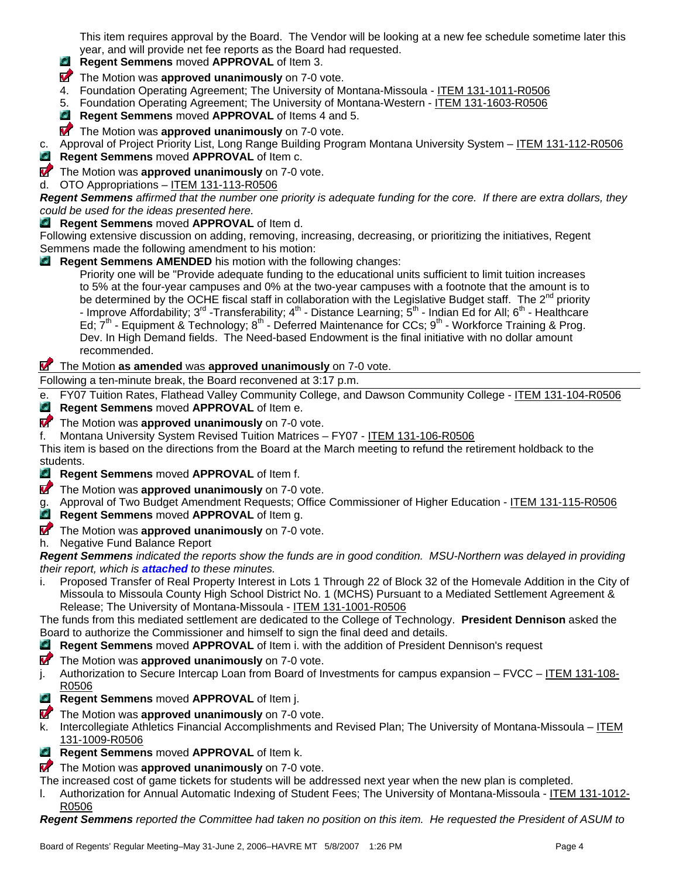This item requires approval by the Board. The Vendor will be looking at a new fee schedule sometime later this year, and will provide net fee reports as the Board had requested.

- **Regent Semmens** moved **APPROVAL** of Item 3. C)
- **T** The Motion was **approved unanimously** on 7-0 vote.
- 4. Foundation Operating Agreement; The University of Montana-Missoula ITEM 131-1011-R0506
- 5. Foundation Operating Agreement; The University of Montana-Western ITEM 131-1603-R0506
- **Regent Semmens** moved **APPROVAL** of Items 4 and 5.
- **T** The Motion was **approved unanimously** on 7-0 vote.

c. Approval of Project Priority List, Long Range Building Program Montana University System – ITEM 131-112-R0506 C. **Regent Semmens** moved **APPROVAL** of Item c.

**The Motion was approved unanimously** on 7-0 vote.

d. OTO Appropriations – ITEM 131-113-R0506

*Regent Semmens affirmed that the number one priority is adequate funding for the core. If there are extra dollars, they could be used for the ideas presented here.* 

**Regent Semmens** moved **APPROVAL** of Item d.

Following extensive discussion on adding, removing, increasing, decreasing, or prioritizing the initiatives, Regent Semmens made the following amendment to his motion:

**Regent Semmens AMENDED** his motion with the following changes:

Priority one will be "Provide adequate funding to the educational units sufficient to limit tuition increases to 5% at the four-year campuses and 0% at the two-year campuses with a footnote that the amount is to be determined by the OCHE fiscal staff in collaboration with the Legislative Budget staff. The  $2^{nd}$  priority - Improve Affordability; 3<sup>rd</sup> -Transferability; 4<sup>th</sup> - Distance Learning;  $\bar{S}^{th}$  - Indian Ed for All; 6<sup>th</sup> - Healthcare Ed;  $7<sup>th</sup>$  - Equipment & Technology;  $8<sup>th</sup>$  - Deferred Maintenance for CCs;  $9<sup>th</sup>$  - Workforce Training & Prog. Dev. In High Demand fields. The Need-based Endowment is the final initiative with no dollar amount recommended.

# The Motion **as amended** was **approved unanimously** on 7-0 vote.

Following a ten-minute break, the Board reconvened at 3:17 p.m.

e. FY07 Tuition Rates, Flathead Valley Community College, and Dawson Community College - ITEM 131-104-R0506 **Regent Semmens** moved **APPROVAL** of Item e.

**The Motion was approved unanimously** on 7-0 vote.

f. Montana University System Revised Tuition Matrices – FY07 - ITEM 131-106-R0506

This item is based on the directions from the Board at the March meeting to refund the retirement holdback to the students.

**Regent Semmens** moved **APPROVAL** of Item f.

- **The Motion was approved unanimously** on 7-0 vote.
- g. Approval of Two Budget Amendment Requests; Office Commissioner of Higher Education ITEM 131-115-R0506
- $\bullet$ **Regent Semmens** moved **APPROVAL** of Item g.
- **The Motion was approved unanimously** on 7-0 vote.

h. Negative Fund Balance Report

*Regent Semmens indicated the reports show the funds are in good condition. MSU-Northern was delayed in providing their report, which is attached to these minutes.* 

i. Proposed Transfer of Real Property Interest in Lots 1 Through 22 of Block 32 of the Homevale Addition in the City of Missoula to Missoula County High School District No. 1 (MCHS) Pursuant to a Mediated Settlement Agreement & Release; The University of Montana-Missoula - ITEM 131-1001-R0506

The funds from this mediated settlement are dedicated to the College of Technology. **President Dennison** asked the Board to authorize the Commissioner and himself to sign the final deed and details.

- **Regent Semmens** moved **APPROVAL** of Item i. with the addition of President Dennison's request
- **The Motion was approved unanimously** on 7-0 vote.
- j. Authorization to Secure Intercap Loan from Board of Investments for campus expansion FVCC ITEM 131-108-R0506
- **Regent Semmens** moved **APPROVAL** of Item j.
- **The Motion was approved unanimously** on 7-0 vote.
- k. Intercollegiate Athletics Financial Accomplishments and Revised Plan; The University of Montana-Missoula ITEM 131-1009-R0506
- **Regent Semmens** moved **APPROVAL** of Item k.

**The Motion was approved unanimously** on 7-0 vote.

The increased cost of game tickets for students will be addressed next year when the new plan is completed.

l. Authorization for Annual Automatic Indexing of Student Fees; The University of Montana-Missoula - ITEM 131-1012- R0506

*Regent Semmens reported the Committee had taken no position on this item. He requested the President of ASUM to*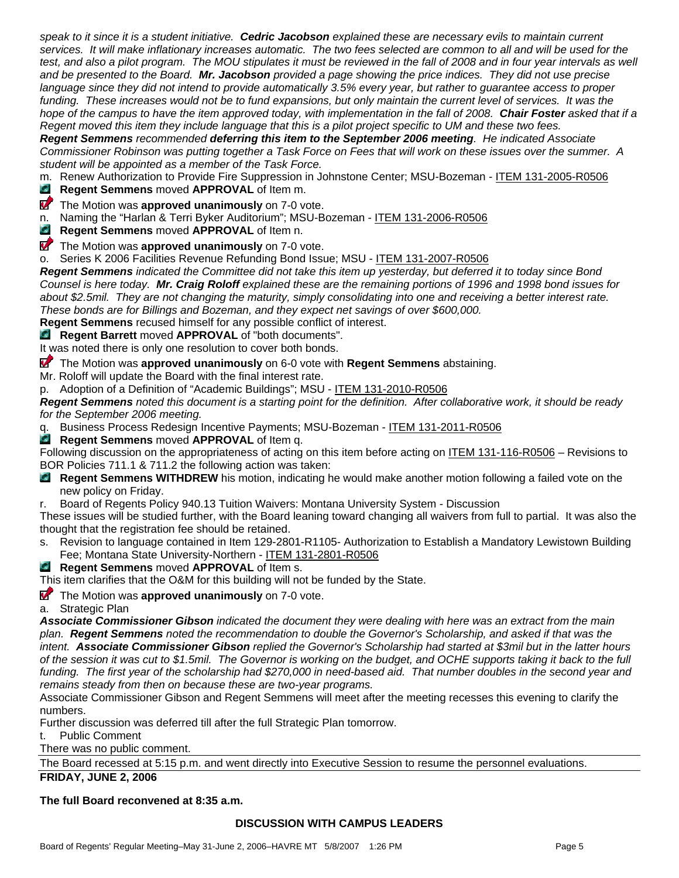*speak to it since it is a student initiative. Cedric Jacobson explained these are necessary evils to maintain current services. It will make inflationary increases automatic. The two fees selected are common to all and will be used for the*  test, and also a pilot program. The MOU stipulates it must be reviewed in the fall of 2008 and in four year intervals as well *and be presented to the Board. Mr. Jacobson provided a page showing the price indices. They did not use precise language since they did not intend to provide automatically 3.5% every year, but rather to guarantee access to proper funding. These increases would not be to fund expansions, but only maintain the current level of services. It was the hope of the campus to have the item approved today, with implementation in the fall of 2008. Chair Foster asked that if a Regent moved this item they include language that this is a pilot project specific to UM and these two fees.* 

*Regent Semmens recommended deferring this item to the September 2006 meeting. He indicated Associate Commissioner Robinson was putting together a Task Force on Fees that will work on these issues over the summer. A student will be appointed as a member of the Task Force.* 

m. Renew Authorization to Provide Fire Suppression in Johnstone Center; MSU-Bozeman - ITEM 131-2005-R0506

**Regent Semmens** moved **APPROVAL** of Item m.

**The Motion was approved unanimously** on 7-0 vote.

n. Naming the "Harlan & Terri Byker Auditorium"; MSU-Bozeman - ITEM 131-2006-R0506

**Regent Semmens** moved **APPROVAL** of Item n.

**The Motion was approved unanimously** on 7-0 vote.

o. Series K 2006 Facilities Revenue Refunding Bond Issue; MSU - ITEM 131-2007-R0506

*Regent Semmens indicated the Committee did not take this item up yesterday, but deferred it to today since Bond Counsel is here today. Mr. Craig Roloff explained these are the remaining portions of 1996 and 1998 bond issues for about \$2.5mil. They are not changing the maturity, simply consolidating into one and receiving a better interest rate. These bonds are for Billings and Bozeman, and they expect net savings of over \$600,000.* 

**Regent Semmens** recused himself for any possible conflict of interest.

**Regent Barrett** moved **APPROVAL** of "both documents".

It was noted there is only one resolution to cover both bonds.

The Motion was **approved unanimously** on 6-0 vote with **Regent Semmens** abstaining.

Mr. Roloff will update the Board with the final interest rate.

p. Adoption of a Definition of "Academic Buildings"; MSU - ITEM 131-2010-R0506

*Regent Semmens noted this document is a starting point for the definition. After collaborative work, it should be ready for the September 2006 meeting.* 

q. Business Process Redesign Incentive Payments; MSU-Bozeman - ITEM 131-2011-R0506

**Regent Semmens** moved **APPROVAL** of Item q.

Following discussion on the appropriateness of acting on this item before acting on ITEM 131-116-R0506 – Revisions to BOR Policies 711.1 & 711.2 the following action was taken:

**Regent Semmens WITHDREW** his motion, indicating he would make another motion following a failed vote on the new policy on Friday.

r. Board of Regents Policy 940.13 Tuition Waivers: Montana University System - Discussion

These issues will be studied further, with the Board leaning toward changing all waivers from full to partial. It was also the thought that the registration fee should be retained.

s. Revision to language contained in Item 129-2801-R1105- Authorization to Establish a Mandatory Lewistown Building Fee; Montana State University-Northern - ITEM 131-2801-R0506

# **Regent Semmens** moved **APPROVAL** of Item s.

This item clarifies that the O&M for this building will not be funded by the State.

**The Motion was approved unanimously** on 7-0 vote.

a. Strategic Plan

*Associate Commissioner Gibson indicated the document they were dealing with here was an extract from the main plan. Regent Semmens noted the recommendation to double the Governor's Scholarship, and asked if that was the intent. Associate Commissioner Gibson replied the Governor's Scholarship had started at \$3mil but in the latter hours of the session it was cut to \$1.5mil. The Governor is working on the budget, and OCHE supports taking it back to the full*  funding. The first year of the scholarship had \$270,000 in need-based aid. That number doubles in the second year and *remains steady from then on because these are two-year programs.* 

Associate Commissioner Gibson and Regent Semmens will meet after the meeting recesses this evening to clarify the numbers.

Further discussion was deferred till after the full Strategic Plan tomorrow.

t. Public Comment

There was no public comment.

The Board recessed at 5:15 p.m. and went directly into Executive Session to resume the personnel evaluations.

**FRIDAY, JUNE 2, 2006** 

**The full Board reconvened at 8:35 a.m.** 

#### **DISCUSSION WITH CAMPUS LEADERS**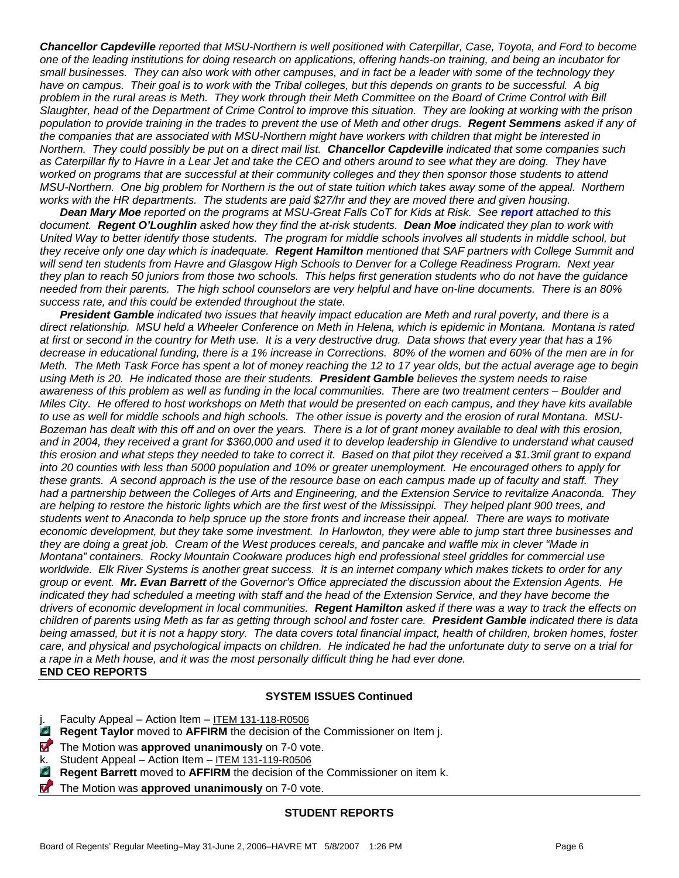*Chancellor Capdeville reported that MSU-Northern is well positioned with Caterpillar, Case, Toyota, and Ford to become one of the leading institutions for doing research on applications, offering hands-on training, and being an incubator for small businesses. They can also work with other campuses, and in fact be a leader with some of the technology they have on campus. Their goal is to work with the Tribal colleges, but this depends on grants to be successful. A big problem in the rural areas is Meth. They work through their Meth Committee on the Board of Crime Control with Bill Slaughter, head of the Department of Crime Control to improve this situation. They are looking at working with the prison population to provide training in the trades to prevent the use of Meth and other drugs. Regent Semmens asked if any of the companies that are associated with MSU-Northern might have workers with children that might be interested in Northern. They could possibly be put on a direct mail list. Chancellor Capdeville indicated that some companies such as Caterpillar fly to Havre in a Lear Jet and take the CEO and others around to see what they are doing. They have*  worked on programs that are successful at their community colleges and they then sponsor those students to attend *MSU-Northern. One big problem for Northern is the out of state tuition which takes away some of the appeal. Northern works with the HR departments. The students are paid \$27/hr and they are moved there and given housing.* 

*Dean Mary Moe reported on the programs at MSU-Great Falls CoT for Kids at Risk. See report attached to this document. Regent O'Loughlin asked how they find the at-risk students. Dean Moe indicated they plan to work with United Way to better identify those students. The program for middle schools involves all students in middle school, but they receive only one day which is inadequate. Regent Hamilton mentioned that SAF partners with College Summit and will send ten students from Havre and Glasgow High Schools to Denver for a College Readiness Program. Next year they plan to reach 50 juniors from those two schools. This helps first generation students who do not have the guidance needed from their parents. The high school counselors are very helpful and have on-line documents. There is an 80% success rate, and this could be extended throughout the state.*

*President Gamble indicated two issues that heavily impact education are Meth and rural poverty, and there is a direct relationship. MSU held a Wheeler Conference on Meth in Helena, which is epidemic in Montana. Montana is rated at first or second in the country for Meth use. It is a very destructive drug. Data shows that every year that has a 1% decrease in educational funding, there is a 1% increase in Corrections. 80% of the women and 60% of the men are in for Meth. The Meth Task Force has spent a lot of money reaching the 12 to 17 year olds, but the actual average age to begin using Meth is 20. He indicated those are their students. President Gamble believes the system needs to raise awareness of this problem as well as funding in the local communities. There are two treatment centers – Boulder and Miles City. He offered to host workshops on Meth that would be presented on each campus, and they have kits available to use as well for middle schools and high schools. The other issue is poverty and the erosion of rural Montana. MSU-Bozeman has dealt with this off and on over the years. There is a lot of grant money available to deal with this erosion, and in 2004, they received a grant for \$360,000 and used it to develop leadership in Glendive to understand what caused this erosion and what steps they needed to take to correct it. Based on that pilot they received a \$1.3mil grant to expand into 20 counties with less than 5000 population and 10% or greater unemployment. He encouraged others to apply for these grants. A second approach is the use of the resource base on each campus made up of faculty and staff. They had a partnership between the Colleges of Arts and Engineering, and the Extension Service to revitalize Anaconda. They are helping to restore the historic lights which are the first west of the Mississippi. They helped plant 900 trees, and students went to Anaconda to help spruce up the store fronts and increase their appeal. There are ways to motivate economic development, but they take some investment. In Harlowton, they were able to jump start three businesses and they are doing a great job. Cream of the West produces cereals, and pancake and waffle mix in clever "Made in Montana" containers. Rocky Mountain Cookware produces high end professional steel griddles for commercial use worldwide. Elk River Systems is another great success. It is an internet company which makes tickets to order for any group or event. Mr. Evan Barrett of the Governor's Office appreciated the discussion about the Extension Agents. He*  indicated they had scheduled a meeting with staff and the head of the Extension Service, and they have become the *drivers of economic development in local communities. Regent Hamilton asked if there was a way to track the effects on children of parents using Meth as far as getting through school and foster care. President Gamble indicated there is data being amassed, but it is not a happy story. The data covers total financial impact, health of children, broken homes, foster care, and physical and psychological impacts on children. He indicated he had the unfortunate duty to serve on a trial for a rape in a Meth house, and it was the most personally difficult thing he had ever done.*  **END CEO REPORTS** 

#### **SYSTEM ISSUES Continued**

| Faculty Appeal - Action Item - ITEM 131-118-R0506 |  |  |
|---------------------------------------------------|--|--|
|                                                   |  |  |

- $\mathbb{Z}$ **Regent Taylor** moved to **AFFIRM** the decision of the Commissioner on Item j.
- **T** The Motion was **approved unanimously** on 7-0 vote.
- k. Student Appeal Action Item ITEM 131-119-R0506
- **Regent Barrett** moved to **AFFIRM** the decision of the Commissioner on item k. O.
- $\boldsymbol{\nabla}$ The Motion was **approved unanimously** on 7-0 vote.

#### **STUDENT REPORTS**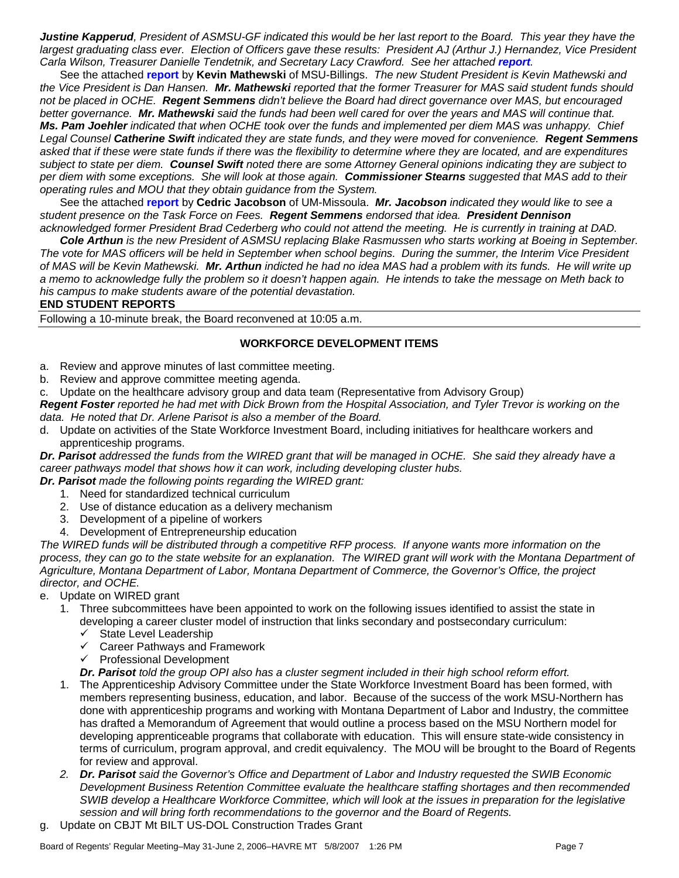*Justine Kapperud, President of ASMSU-GF indicated this would be her last report to the Board. This year they have the largest graduating class ever. Election of Officers gave these results: President AJ (Arthur J.) Hernandez, Vice President*  Carla Wilson, Treasurer Danielle Tendetnik, and Secretary Lacy Crawford. See her attached *report*.

See the attached **report** by **Kevin Mathewski** of MSU-Billings. *The new Student President is Kevin Mathewski and the Vice President is Dan Hansen. Mr. Mathewski reported that the former Treasurer for MAS said student funds should not be placed in OCHE. Regent Semmens didn't believe the Board had direct governance over MAS, but encouraged better governance. Mr. Mathewski said the funds had been well cared for over the years and MAS will continue that. Ms. Pam Joehler indicated that when OCHE took over the funds and implemented per diem MAS was unhappy. Chief Legal Counsel Catherine Swift indicated they are state funds, and they were moved for convenience. Regent Semmens asked that if these were state funds if there was the flexibility to determine where they are located, and are expenditures subject to state per diem. Counsel Swift noted there are some Attorney General opinions indicating they are subject to per diem with some exceptions. She will look at those again. Commissioner Stearns suggested that MAS add to their operating rules and MOU that they obtain guidance from the System.* 

See the attached **report** by **Cedric Jacobson** of UM-Missoula. *Mr. Jacobson indicated they would like to see a student presence on the Task Force on Fees. Regent Semmens endorsed that idea. President Dennison acknowledged former President Brad Cederberg who could not attend the meeting. He is currently in training at DAD.*

*Cole Arthun is the new President of ASMSU replacing Blake Rasmussen who starts working at Boeing in September. The vote for MAS officers will be held in September when school begins. During the summer, the Interim Vice President of MAS will be Kevin Mathewski. Mr. Arthun indicted he had no idea MAS had a problem with its funds. He will write up a memo to acknowledge fully the problem so it doesn't happen again. He intends to take the message on Meth back to his campus to make students aware of the potential devastation.* 

#### **END STUDENT REPORTS**

Following a 10-minute break, the Board reconvened at 10:05 a.m.

# **WORKFORCE DEVELOPMENT ITEMS**

- a. Review and approve minutes of last committee meeting.
- b. Review and approve committee meeting agenda.
- c. Update on the healthcare advisory group and data team (Representative from Advisory Group)

*Regent Foster reported he had met with Dick Brown from the Hospital Association, and Tyler Trevor is working on the data. He noted that Dr. Arlene Parisot is also a member of the Board.* 

d. Update on activities of the State Workforce Investment Board, including initiatives for healthcare workers and apprenticeship programs.

*Dr. Parisot addressed the funds from the WIRED grant that will be managed in OCHE. She said they already have a career pathways model that shows how it can work, including developing cluster hubs.* 

*Dr. Parisot made the following points regarding the WIRED grant:*

- 1. Need for standardized technical curriculum
- 2. Use of distance education as a delivery mechanism
- 3. Development of a pipeline of workers
- 4. Development of Entrepreneurship education

*The WIRED funds will be distributed through a competitive RFP process. If anyone wants more information on the*  process, they can go to the state website for an explanation. The WIRED grant will work with the Montana Department of *Agriculture, Montana Department of Labor, Montana Department of Commerce, the Governor's Office, the project director, and OCHE.* 

- e. Update on WIRED grant
	- 1. Three subcommittees have been appointed to work on the following issues identified to assist the state in developing a career cluster model of instruction that links secondary and postsecondary curriculum:
		- $\checkmark$  State Level Leadership
		- $\checkmark$  Career Pathways and Framework
		- $\checkmark$  Professional Development
		- *Dr. Parisot told the group OPI also has a cluster segment included in their high school reform effort.*
	- 1. The Apprenticeship Advisory Committee under the State Workforce Investment Board has been formed, with members representing business, education, and labor. Because of the success of the work MSU-Northern has done with apprenticeship programs and working with Montana Department of Labor and Industry, the committee has drafted a Memorandum of Agreement that would outline a process based on the MSU Northern model for developing apprenticeable programs that collaborate with education. This will ensure state-wide consistency in terms of curriculum, program approval, and credit equivalency. The MOU will be brought to the Board of Regents for review and approval.
	- *2. Dr. Parisot said the Governor's Office and Department of Labor and Industry requested the SWIB Economic Development Business Retention Committee evaluate the healthcare staffing shortages and then recommended SWIB develop a Healthcare Workforce Committee, which will look at the issues in preparation for the legislative session and will bring forth recommendations to the governor and the Board of Regents.*
- g. Update on CBJT Mt BILT US-DOL Construction Trades Grant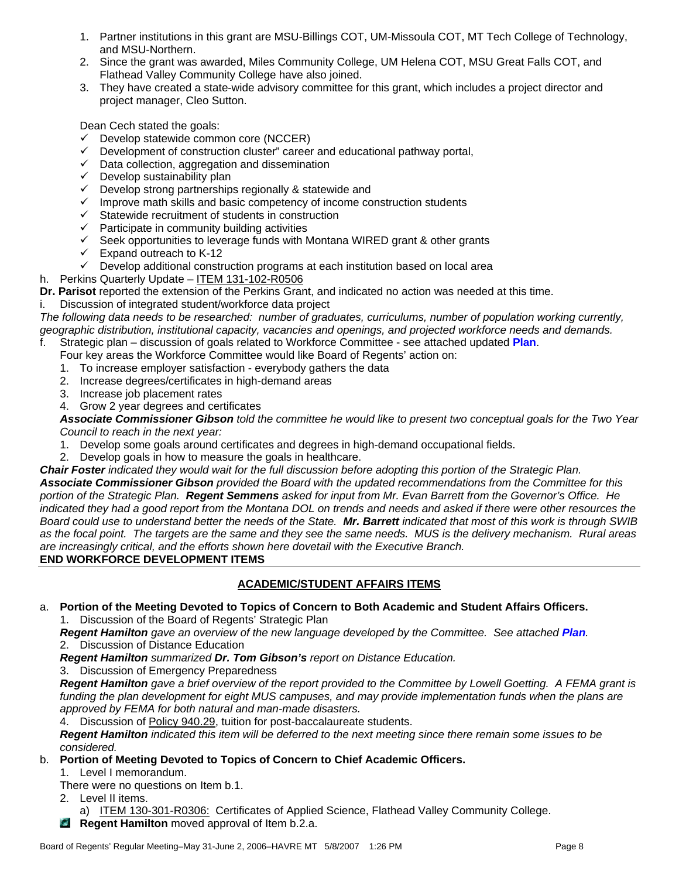- 1. Partner institutions in this grant are MSU-Billings COT, UM-Missoula COT, MT Tech College of Technology, and MSU-Northern.
- 2. Since the grant was awarded, Miles Community College, UM Helena COT, MSU Great Falls COT, and Flathead Valley Community College have also joined.
- 3. They have created a state-wide advisory committee for this grant, which includes a project director and project manager, Cleo Sutton.

Dean Cech stated the goals:

- $\checkmark$  Develop statewide common core (NCCER)
- $\checkmark$  Development of construction cluster" career and educational pathway portal,
- $\checkmark$  Data collection, aggregation and dissemination
- $\checkmark$  Develop sustainability plan
- $\checkmark$  Develop strong partnerships regionally & statewide and
- $\checkmark$  Improve math skills and basic competency of income construction students
- $\checkmark$  Statewide recruitment of students in construction
- $\checkmark$  Participate in community building activities
- $\checkmark$  Seek opportunities to leverage funds with Montana WIRED grant & other grants
- $\checkmark$  Expand outreach to K-12
- $\checkmark$  Develop additional construction programs at each institution based on local area
- h. Perkins Quarterly Update ITEM 131-102-R0506
- **Dr. Parisot** reported the extension of the Perkins Grant, and indicated no action was needed at this time.

i. Discussion of integrated student/workforce data project

*The following data needs to be researched: number of graduates, curriculums, number of population working currently, geographic distribution, institutional capacity, vacancies and openings, and projected workforce needs and demands.*  f. Strategic plan – discussion of goals related to Workforce Committee - see attached updated **Plan**.

- Four key areas the Workforce Committee would like Board of Regents' action on:
- 1. To increase employer satisfaction everybody gathers the data
- 2. Increase degrees/certificates in high-demand areas
- 3. Increase job placement rates
- 4. Grow 2 year degrees and certificates

*Associate Commissioner Gibson told the committee he would like to present two conceptual goals for the Two Year Council to reach in the next year:* 

- 1. Develop some goals around certificates and degrees in high-demand occupational fields.
- 2. Develop goals in how to measure the goals in healthcare.
- *Chair Foster indicated they would wait for the full discussion before adopting this portion of the Strategic Plan.*

*Associate Commissioner Gibson provided the Board with the updated recommendations from the Committee for this portion of the Strategic Plan. Regent Semmens asked for input from Mr. Evan Barrett from the Governor's Office. He indicated they had a good report from the Montana DOL on trends and needs and asked if there were other resources the Board could use to understand better the needs of the State. Mr. Barrett indicated that most of this work is through SWIB as the focal point. The targets are the same and they see the same needs. MUS is the delivery mechanism. Rural areas are increasingly critical, and the efforts shown here dovetail with the Executive Branch.* 

# **END WORKFORCE DEVELOPMENT ITEMS**

# **ACADEMIC/STUDENT AFFAIRS ITEMS**

a. **Portion of the Meeting Devoted to Topics of Concern to Both Academic and Student Affairs Officers.** 1. Discussion of the Board of Regents' Strategic Plan

**Regent Hamilton** gave an overview of the new language developed by the Committee. See attached Plan. 2. Discussion of Distance Education

- *Regent Hamilton summarized Dr. Tom Gibson's report on Distance Education.*
- 3. Discussion of Emergency Preparedness

*Regent Hamilton gave a brief overview of the report provided to the Committee by Lowell Goetting. A FEMA grant is funding the plan development for eight MUS campuses, and may provide implementation funds when the plans are approved by FEMA for both natural and man-made disasters.* 

4. Discussion of Policy 940.29, tuition for post-baccalaureate students.

*Regent Hamilton indicated this item will be deferred to the next meeting since there remain some issues to be considered.* 

b. **Portion of Meeting Devoted to Topics of Concern to Chief Academic Officers.** 

1. Level I memorandum.

There were no questions on Item b.1.

2. Level II items.

a) ITEM 130-301-R0306: Certificates of Applied Science, Flathead Valley Community College.

**Regent Hamilton** moved approval of Item b.2.a.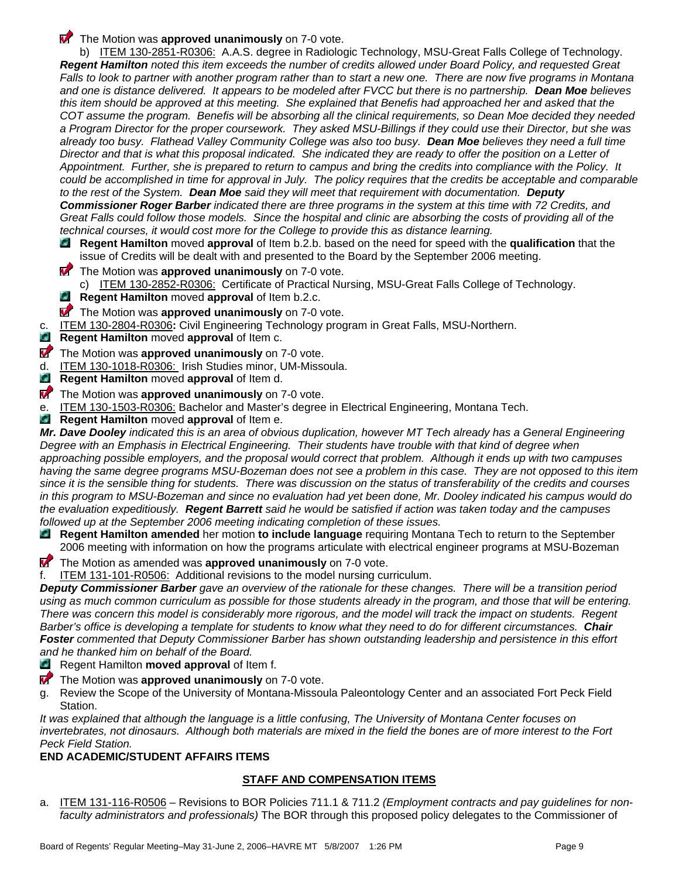**The Motion was approved unanimously** on 7-0 vote.

b) ITEM 130-2851-R0306: A.A.S. degree in Radiologic Technology, MSU-Great Falls College of Technology. *Regent Hamilton noted this item exceeds the number of credits allowed under Board Policy, and requested Great Falls to look to partner with another program rather than to start a new one. There are now five programs in Montana and one is distance delivered. It appears to be modeled after FVCC but there is no partnership. Dean Moe believes this item should be approved at this meeting. She explained that Benefis had approached her and asked that the COT assume the program. Benefis will be absorbing all the clinical requirements, so Dean Moe decided they needed a Program Director for the proper coursework. They asked MSU-Billings if they could use their Director, but she was already too busy. Flathead Valley Community College was also too busy. Dean Moe believes they need a full time Director and that is what this proposal indicated. She indicated they are ready to offer the position on a Letter of Appointment. Further, she is prepared to return to campus and bring the credits into compliance with the Policy. It*  could be accomplished in time for approval in July. The policy requires that the credits be acceptable and comparable *to the rest of the System. Dean Moe said they will meet that requirement with documentation. Deputy Commissioner Roger Barber indicated there are three programs in the system at this time with 72 Credits, and Great Falls could follow those models. Since the hospital and clinic are absorbing the costs of providing all of the technical courses, it would cost more for the College to provide this as distance learning.* 

- **Regent Hamilton** moved **approval** of Item b.2.b. based on the need for speed with the **qualification** that the issue of Credits will be dealt with and presented to the Board by the September 2006 meeting.
- **The Motion was approved unanimously** on 7-0 vote.
- c) ITEM 130-2852-R0306: Certificate of Practical Nursing, MSU-Great Falls College of Technology.
- **Regent Hamilton** moved **approval** of Item b.2.c. Q.
- **T** The Motion was **approved unanimously** on 7-0 vote.
- c. ITEM 130-2804-R0306**:** Civil Engineering Technology program in Great Falls, MSU-Northern.
- C. **Regent Hamilton** moved **approval** of Item c.
- **The Motion was approved unanimously** on 7-0 vote.
- d. ITEM 130-1018-R0306: Irish Studies minor, UM-Missoula.
- C. **Regent Hamilton** moved **approval** of Item d.
- **The Motion was approved unanimously** on 7-0 vote.
- e. ITEM 130-1503-R0306: Bachelor and Master's degree in Electrical Engineering, Montana Tech.
- **G Regent Hamilton** moved **approval** of Item e.

*Mr. Dave Dooley indicated this is an area of obvious duplication, however MT Tech already has a General Engineering Degree with an Emphasis in Electrical Engineering. Their students have trouble with that kind of degree when approaching possible employers, and the proposal would correct that problem. Although it ends up with two campuses having the same degree programs MSU-Bozeman does not see a problem in this case. They are not opposed to this item since it is the sensible thing for students. There was discussion on the status of transferability of the credits and courses in this program to MSU-Bozeman and since no evaluation had yet been done, Mr. Dooley indicated his campus would do the evaluation expeditiously. Regent Barrett said he would be satisfied if action was taken today and the campuses followed up at the September 2006 meeting indicating completion of these issues.* 

- **Regent Hamilton amended** her motion **to include language** requiring Montana Tech to return to the September 2006 meeting with information on how the programs articulate with electrical engineer programs at MSU-Bozeman
- **The Motion as amended was approved unanimously** on 7-0 vote.
- f. ITEM 131-101-R0506: Additional revisions to the model nursing curriculum.

*Deputy Commissioner Barber gave an overview of the rationale for these changes. There will be a transition period using as much common curriculum as possible for those students already in the program, and those that will be entering. There was concern this model is considerably more rigorous, and the model will track the impact on students. Regent Barber's office is developing a template for students to know what they need to do for different circumstances. Chair Foster commented that Deputy Commissioner Barber has shown outstanding leadership and persistence in this effort and he thanked him on behalf of the Board.* 

- **Regent Hamilton moved approval of Item f.**
- **The Motion was approved unanimously** on 7-0 vote.
- g. Review the Scope of the University of Montana-Missoula Paleontology Center and an associated Fort Peck Field Station.

*It was explained that although the language is a little confusing, The University of Montana Center focuses on invertebrates, not dinosaurs. Although both materials are mixed in the field the bones are of more interest to the Fort Peck Field Station.* 

#### **END ACADEMIC/STUDENT AFFAIRS ITEMS**

#### **STAFF AND COMPENSATION ITEMS**

a. ITEM 131-116-R0506 – Revisions to BOR Policies 711.1 & 711.2 *(Employment contracts and pay guidelines for nonfaculty administrators and professionals)* The BOR through this proposed policy delegates to the Commissioner of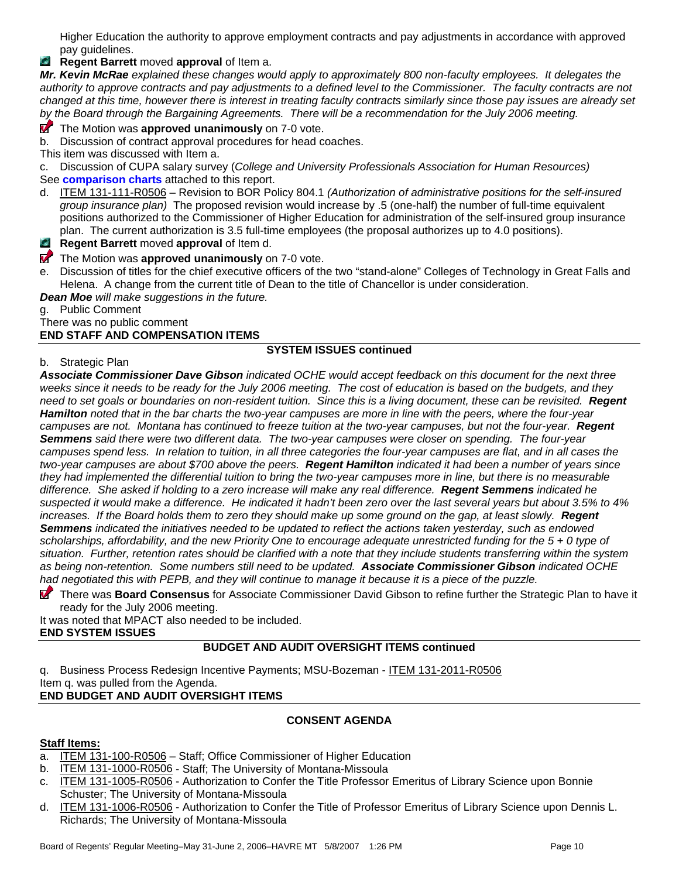Higher Education the authority to approve employment contracts and pay adjustments in accordance with approved pay guidelines.

**Regent Barrett** moved **approval** of Item a.

*Mr. Kevin McRae explained these changes would apply to approximately 800 non-faculty employees. It delegates the authority to approve contracts and pay adjustments to a defined level to the Commissioner. The faculty contracts are not changed at this time, however there is interest in treating faculty contracts similarly since those pay issues are already set by the Board through the Bargaining Agreements. There will be a recommendation for the July 2006 meeting.* 

# **T** The Motion was **approved unanimously** on 7-0 vote.

b. Discussion of contract approval procedures for head coaches.

This item was discussed with Item a.

c. Discussion of CUPA salary survey (*College and University Professionals Association for Human Resources)*

See **comparison charts** attached to this report.

- d. ITEM 131-111-R0506 Revision to BOR Policy 804.1 *(Authorization of administrative positions for the self-insured group insurance plan)* The proposed revision would increase by .5 (one-half) the number of full-time equivalent positions authorized to the Commissioner of Higher Education for administration of the self-insured group insurance plan. The current authorization is 3.5 full-time employees (the proposal authorizes up to 4.0 positions).
- **Regent Barrett** moved **approval** of Item d.
- **The Motion was approved unanimously** on 7-0 vote.
- e. Discussion of titles for the chief executive officers of the two "stand-alone" Colleges of Technology in Great Falls and Helena. A change from the current title of Dean to the title of Chancellor is under consideration.

*Dean Moe will make suggestions in the future.* 

g. Public Comment

#### There was no public comment **END STAFF AND COMPENSATION ITEMS**

# **SYSTEM ISSUES continued**

b. Strategic Plan

*Associate Commissioner Dave Gibson indicated OCHE would accept feedback on this document for the next three weeks since it needs to be ready for the July 2006 meeting. The cost of education is based on the budgets, and they need to set goals or boundaries on non-resident tuition. Since this is a living document, these can be revisited. Regent Hamilton noted that in the bar charts the two-year campuses are more in line with the peers, where the four-year campuses are not. Montana has continued to freeze tuition at the two-year campuses, but not the four-year. Regent Semmens said there were two different data. The two-year campuses were closer on spending. The four-year campuses spend less. In relation to tuition, in all three categories the four-year campuses are flat, and in all cases the two-year campuses are about \$700 above the peers. Regent Hamilton indicated it had been a number of years since they had implemented the differential tuition to bring the two-year campuses more in line, but there is no measurable difference. She asked if holding to a zero increase will make any real difference. Regent Semmens indicated he suspected it would make a difference. He indicated it hadn't been zero over the last several years but about 3.5% to 4% increases. If the Board holds them to zero they should make up some ground on the gap, at least slowly.* Regent *Semmens indicated the initiatives needed to be updated to reflect the actions taken yesterday, such as endowed scholarships, affordability, and the new Priority One to encourage adequate unrestricted funding for the 5 + 0 type of situation. Further, retention rates should be clarified with a note that they include students transferring within the system as being non-retention. Some numbers still need to be updated. Associate Commissioner Gibson indicated OCHE had negotiated this with PEPB, and they will continue to manage it because it is a piece of the puzzle.* 

 There was **Board Consensus** for Associate Commissioner David Gibson to refine further the Strategic Plan to have it ready for the July 2006 meeting.

It was noted that MPACT also needed to be included. **END SYSTEM ISSUES** 

# **BUDGET AND AUDIT OVERSIGHT ITEMS continued**

q. Business Process Redesign Incentive Payments; MSU-Bozeman - ITEM 131-2011-R0506 Item q. was pulled from the Agenda. **END BUDGET AND AUDIT OVERSIGHT ITEMS** 

# **CONSENT AGENDA**

# **Staff Items:**

- a. ITEM 131-100-R0506 Staff; Office Commissioner of Higher Education
- b. ITEM 131-1000-R0506 Staff; The University of Montana-Missoula
- c. ITEM 131-1005-R0506 Authorization to Confer the Title Professor Emeritus of Library Science upon Bonnie Schuster; The University of Montana-Missoula
- d. ITEM 131-1006-R0506 Authorization to Confer the Title of Professor Emeritus of Library Science upon Dennis L. Richards; The University of Montana-Missoula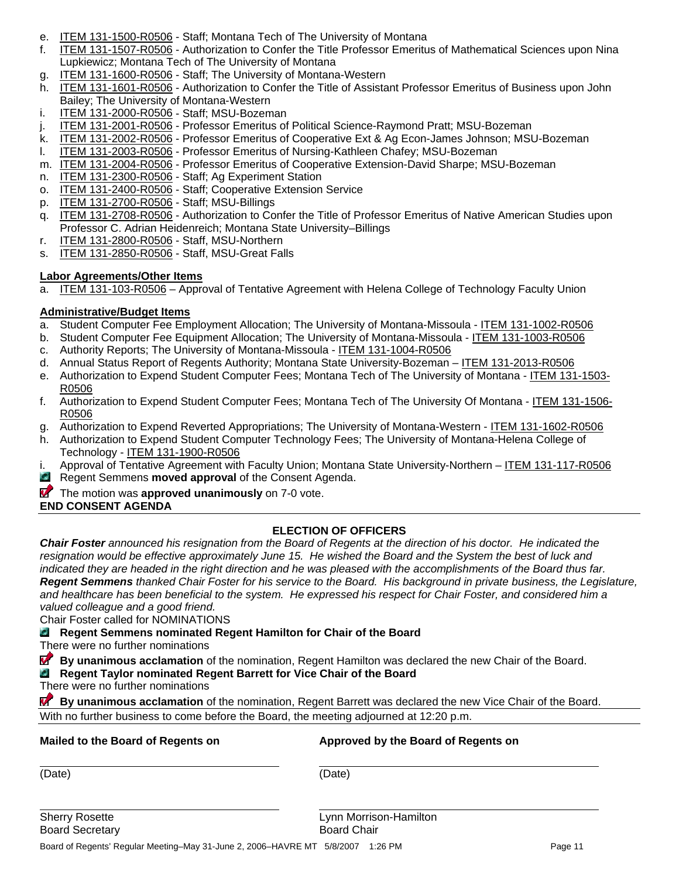- e. ITEM 131-1500-R0506 Staff; Montana Tech of The University of Montana
- f. ITEM 131-1507-R0506 Authorization to Confer the Title Professor Emeritus of Mathematical Sciences upon Nina Lupkiewicz; Montana Tech of The University of Montana
- g. ITEM 131-1600-R0506 Staff; The University of Montana-Western
- h. ITEM 131-1601-R0506 Authorization to Confer the Title of Assistant Professor Emeritus of Business upon John Bailey; The University of Montana-Western
- i. ITEM 131-2000-R0506 Staff; MSU-Bozeman
- j. ITEM 131-2001-R0506 Professor Emeritus of Political Science-Raymond Pratt; MSU-Bozeman
- k. ITEM 131-2002-R0506 Professor Emeritus of Cooperative Ext & Ag Econ-James Johnson; MSU-Bozeman
- l. ITEM 131-2003-R0506 Professor Emeritus of Nursing-Kathleen Chafey; MSU-Bozeman
- m. ITEM 131-2004-R0506 Professor Emeritus of Cooperative Extension-David Sharpe; MSU-Bozeman
- n. ITEM 131-2300-R0506 Staff; Ag Experiment Station
- o. ITEM 131-2400-R0506 Staff; Cooperative Extension Service
- p. ITEM 131-2700-R0506 Staff; MSU-Billings
- q. ITEM 131-2708-R0506 Authorization to Confer the Title of Professor Emeritus of Native American Studies upon Professor C. Adrian Heidenreich; Montana State University–Billings
- r. ITEM 131-2800-R0506 Staff, MSU-Northern
- s. ITEM 131-2850-R0506 Staff, MSU-Great Falls

#### **Labor Agreements/Other Items**

a. ITEM 131-103-R0506 – Approval of Tentative Agreement with Helena College of Technology Faculty Union

# **Administrative/Budget Items**

- a. Student Computer Fee Employment Allocation; The University of Montana-Missoula ITEM 131-1002-R0506
- b. Student Computer Fee Equipment Allocation; The University of Montana-Missoula ITEM 131-1003-R0506
- c. Authority Reports; The University of Montana-Missoula ITEM 131-1004-R0506
- d. Annual Status Report of Regents Authority; Montana State University-Bozeman ITEM 131-2013-R0506
- e. Authorization to Expend Student Computer Fees; Montana Tech of The University of Montana ITEM 131-1503- R0506
- f. Authorization to Expend Student Computer Fees; Montana Tech of The University Of Montana ITEM 131-1506- R0506
- g. Authorization to Expend Reverted Appropriations; The University of Montana-Western ITEM 131-1602-R0506
- h. Authorization to Expend Student Computer Technology Fees; The University of Montana-Helena College of Technology - ITEM 131-1900-R0506
- i. Approval of Tentative Agreement with Faculty Union; Montana State University-Northern ITEM 131-117-R0506
- **Regent Semmens moved approval of the Consent Agenda.**
- **The motion was approved unanimously** on 7-0 vote.

**END CONSENT AGENDA** 

# **ELECTION OF OFFICERS**

*Chair Foster announced his resignation from the Board of Regents at the direction of his doctor. He indicated the*  resignation would be effective approximately June 15. He wished the Board and the System the best of luck and indicated they are headed in the right direction and he was pleased with the accomplishments of the Board thus far. *Regent Semmens thanked Chair Foster for his service to the Board. His background in private business, the Legislature, and healthcare has been beneficial to the system. He expressed his respect for Chair Foster, and considered him a valued colleague and a good friend.* 

Chair Foster called for NOMINATIONS

# **Regent Semmens nominated Regent Hamilton for Chair of the Board**

There were no further nominations

**By unanimous acclamation** of the nomination, Regent Hamilton was declared the new Chair of the Board.

#### **D Regent Taylor nominated Regent Barrett for Vice Chair of the Board**

There were no further nominations

**M By unanimous acclamation** of the nomination, Regent Barrett was declared the new Vice Chair of the Board. With no further business to come before the Board, the meeting adjourned at 12:20 p.m.

# **Mailed to the Board of Regents on Approved by the Board of Regents on**

(Date) (Date)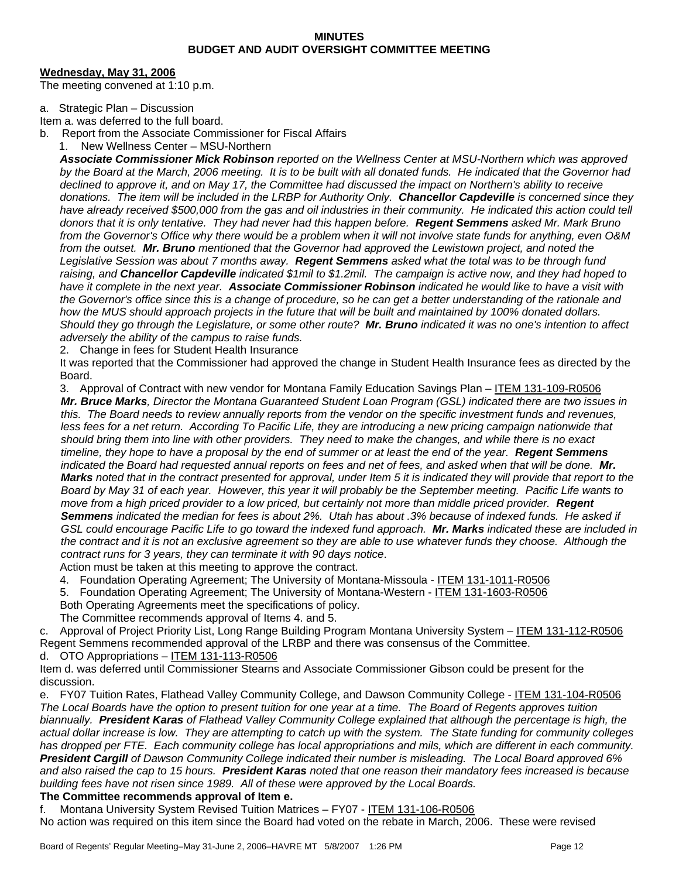#### **MINUTES BUDGET AND AUDIT OVERSIGHT COMMITTEE MEETING**

#### **Wednesday, May 31, 2006**

The meeting convened at 1:10 p.m.

#### a. Strategic Plan – Discussion

Item a. was deferred to the full board.

- b. Report from the Associate Commissioner for Fiscal Affairs
	- 1. New Wellness Center MSU-Northern

*Associate Commissioner Mick Robinson reported on the Wellness Center at MSU-Northern which was approved by the Board at the March, 2006 meeting. It is to be built with all donated funds. He indicated that the Governor had declined to approve it, and on May 17, the Committee had discussed the impact on Northern's ability to receive donations. The item will be included in the LRBP for Authority Only. Chancellor Capdeville is concerned since they*  have already received \$500,000 from the gas and oil industries in their community. He indicated this action could tell *donors that it is only tentative. They had never had this happen before. Regent Semmens asked Mr. Mark Bruno from the Governor's Office why there would be a problem when it will not involve state funds for anything, even O&M from the outset. Mr. Bruno mentioned that the Governor had approved the Lewistown project, and noted the Legislative Session was about 7 months away. Regent Semmens asked what the total was to be through fund raising, and Chancellor Capdeville indicated \$1mil to \$1.2mil. The campaign is active now, and they had hoped to have it complete in the next year. Associate Commissioner Robinson indicated he would like to have a visit with the Governor's office since this is a change of procedure, so he can get a better understanding of the rationale and how the MUS should approach projects in the future that will be built and maintained by 100% donated dollars. Should they go through the Legislature, or some other route? Mr. Bruno indicated it was no one's intention to affect adversely the ability of the campus to raise funds.* 

2. Change in fees for Student Health Insurance

It was reported that the Commissioner had approved the change in Student Health Insurance fees as directed by the Board.

3. Approval of Contract with new vendor for Montana Family Education Savings Plan – ITEM 131-109-R0506

*Mr. Bruce Marks, Director the Montana Guaranteed Student Loan Program (GSL) indicated there are two issues in this. The Board needs to review annually reports from the vendor on the specific investment funds and revenues, less fees for a net return. According To Pacific Life, they are introducing a new pricing campaign nationwide that should bring them into line with other providers. They need to make the changes, and while there is no exact timeline, they hope to have a proposal by the end of summer or at least the end of the year. Regent Semmens indicated the Board had requested annual reports on fees and net of fees, and asked when that will be done. Mr. Marks noted that in the contract presented for approval, under Item 5 it is indicated they will provide that report to the Board by May 31 of each year. However, this year it will probably be the September meeting. Pacific Life wants to move from a high priced provider to a low priced, but certainly not more than middle priced provider.* Regent *Semmens indicated the median for fees is about 2%. Utah has about .3% because of indexed funds. He asked if GSL could encourage Pacific Life to go toward the indexed fund approach. Mr. Marks indicated these are included in the contract and it is not an exclusive agreement so they are able to use whatever funds they choose. Although the contract runs for 3 years, they can terminate it with 90 days notice*.

Action must be taken at this meeting to approve the contract.

- 4. Foundation Operating Agreement; The University of Montana-Missoula ITEM 131-1011-R0506
- 5. Foundation Operating Agreement; The University of Montana-Western ITEM 131-1603-R0506

Both Operating Agreements meet the specifications of policy.

The Committee recommends approval of Items 4. and 5.

c. Approval of Project Priority List, Long Range Building Program Montana University System – ITEM 131-112-R0506 Regent Semmens recommended approval of the LRBP and there was consensus of the Committee. d. OTO Appropriations - ITEM 131-113-R0506

Item d. was deferred until Commissioner Stearns and Associate Commissioner Gibson could be present for the discussion.

e. FY07 Tuition Rates, Flathead Valley Community College, and Dawson Community College - ITEM 131-104-R0506 *The Local Boards have the option to present tuition for one year at a time. The Board of Regents approves tuition biannually. President Karas of Flathead Valley Community College explained that although the percentage is high, the actual dollar increase is low. They are attempting to catch up with the system. The State funding for community colleges has dropped per FTE. Each community college has local appropriations and mils, which are different in each community. President Cargill of Dawson Community College indicated their number is misleading. The Local Board approved 6% and also raised the cap to 15 hours. President Karas noted that one reason their mandatory fees increased is because building fees have not risen since 1989. All of these were approved by the Local Boards.* 

#### **The Committee recommends approval of Item e.**

f. Montana University System Revised Tuition Matrices – FY07 - ITEM 131-106-R0506

No action was required on this item since the Board had voted on the rebate in March, 2006. These were revised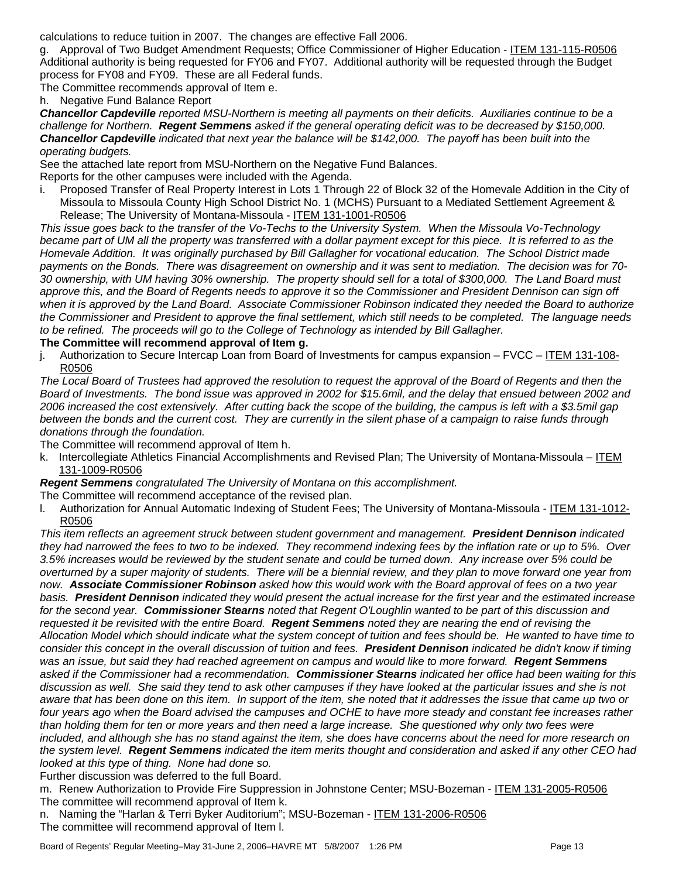calculations to reduce tuition in 2007. The changes are effective Fall 2006.

g. Approval of Two Budget Amendment Requests; Office Commissioner of Higher Education - ITEM 131-115-R0506 Additional authority is being requested for FY06 and FY07. Additional authority will be requested through the Budget process for FY08 and FY09. These are all Federal funds.

The Committee recommends approval of Item e.

h. Negative Fund Balance Report

*Chancellor Capdeville reported MSU-Northern is meeting all payments on their deficits. Auxiliaries continue to be a challenge for Northern. Regent Semmens asked if the general operating deficit was to be decreased by \$150,000. Chancellor Capdeville indicated that next year the balance will be \$142,000. The payoff has been built into the operating budgets.* 

See the attached late report from MSU-Northern on the Negative Fund Balances. Reports for the other campuses were included with the Agenda.

Proposed Transfer of Real Property Interest in Lots 1 Through 22 of Block 32 of the Homevale Addition in the City of Missoula to Missoula County High School District No. 1 (MCHS) Pursuant to a Mediated Settlement Agreement & Release; The University of Montana-Missoula - ITEM 131-1001-R0506

*This issue goes back to the transfer of the Vo-Techs to the University System. When the Missoula Vo-Technology became part of UM all the property was transferred with a dollar payment except for this piece. It is referred to as the Homevale Addition. It was originally purchased by Bill Gallagher for vocational education. The School District made payments on the Bonds. There was disagreement on ownership and it was sent to mediation. The decision was for 70- 30 ownership, with UM having 30% ownership. The property should sell for a total of \$300,000. The Land Board must*  approve this, and the Board of Regents needs to approve it so the Commissioner and President Dennison can sign off when it is approved by the Land Board. Associate Commissioner Robinson indicated they needed the Board to authorize *the Commissioner and President to approve the final settlement, which still needs to be completed. The language needs to be refined. The proceeds will go to the College of Technology as intended by Bill Gallagher.* 

#### **The Committee will recommend approval of Item g.**

j. Authorization to Secure Intercap Loan from Board of Investments for campus expansion – FVCC – ITEM 131-108- R0506

*The Local Board of Trustees had approved the resolution to request the approval of the Board of Regents and then the Board of Investments. The bond issue was approved in 2002 for \$15.6mil, and the delay that ensued between 2002 and 2006 increased the cost extensively. After cutting back the scope of the building, the campus is left with a \$3.5mil gap between the bonds and the current cost. They are currently in the silent phase of a campaign to raise funds through donations through the foundation.* 

The Committee will recommend approval of Item h.

k. Intercollegiate Athletics Financial Accomplishments and Revised Plan; The University of Montana-Missoula – ITEM 131-1009-R0506

*Regent Semmens congratulated The University of Montana on this accomplishment.* 

The Committee will recommend acceptance of the revised plan.

l. Authorization for Annual Automatic Indexing of Student Fees; The University of Montana-Missoula - ITEM 131-1012- R0506

*This item reflects an agreement struck between student government and management. President Dennison indicated they had narrowed the fees to two to be indexed. They recommend indexing fees by the inflation rate or up to 5%. Over 3.5% increases would be reviewed by the student senate and could be turned down. Any increase over 5% could be overturned by a super majority of students. There will be a biennial review, and they plan to move forward one year from now. Associate Commissioner Robinson asked how this would work with the Board approval of fees on a two year basis. President Dennison indicated they would present the actual increase for the first year and the estimated increase for the second year. Commissioner Stearns noted that Regent O'Loughlin wanted to be part of this discussion and requested it be revisited with the entire Board. Regent Semmens noted they are nearing the end of revising the Allocation Model which should indicate what the system concept of tuition and fees should be. He wanted to have time to consider this concept in the overall discussion of tuition and fees. President Dennison indicated he didn't know if timing was an issue, but said they had reached agreement on campus and would like to more forward. Regent Semmens asked if the Commissioner had a recommendation. Commissioner Stearns indicated her office had been waiting for this discussion as well. She said they tend to ask other campuses if they have looked at the particular issues and she is not aware that has been done on this item. In support of the item, she noted that it addresses the issue that came up two or*  four years ago when the Board advised the campuses and OCHE to have more steady and constant fee increases rather *than holding them for ten or more years and then need a large increase. She questioned why only two fees were*  included, and although she has no stand against the item, she does have concerns about the need for more research on *the system level. Regent Semmens indicated the item merits thought and consideration and asked if any other CEO had looked at this type of thing. None had done so.* 

Further discussion was deferred to the full Board.

m. Renew Authorization to Provide Fire Suppression in Johnstone Center; MSU-Bozeman - ITEM 131-2005-R0506 The committee will recommend approval of Item k.

n. Naming the "Harlan & Terri Byker Auditorium"; MSU-Bozeman - ITEM 131-2006-R0506 The committee will recommend approval of Item l.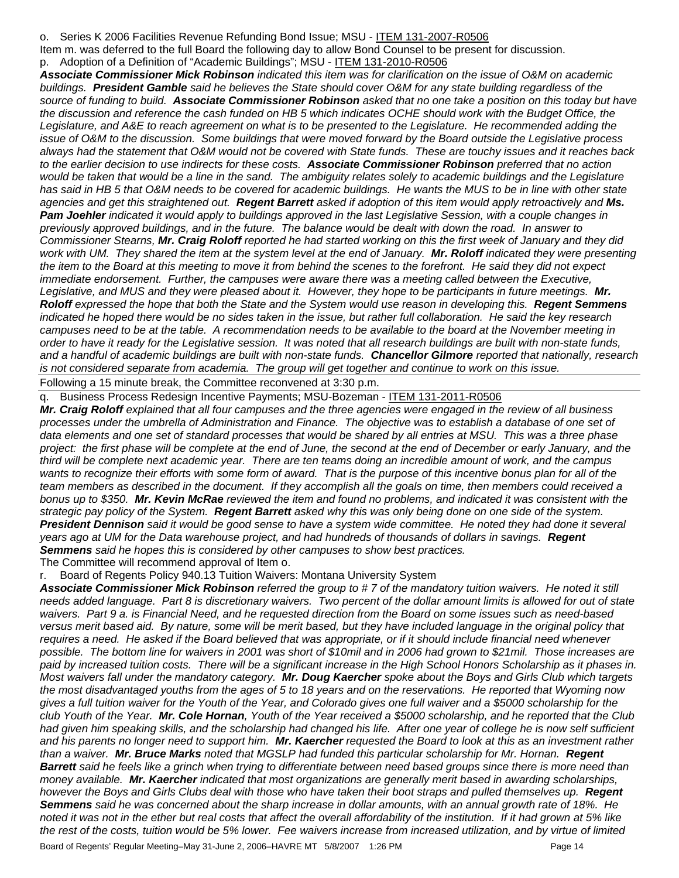o. Series K 2006 Facilities Revenue Refunding Bond Issue; MSU - ITEM 131-2007-R0506

Item m. was deferred to the full Board the following day to allow Bond Counsel to be present for discussion.

p. Adoption of a Definition of "Academic Buildings"; MSU - ITEM 131-2010-R0506

*Associate Commissioner Mick Robinson indicated this item was for clarification on the issue of O&M on academic buildings. President Gamble said he believes the State should cover O&M for any state building regardless of the source of funding to build. Associate Commissioner Robinson asked that no one take a position on this today but have*  the discussion and reference the cash funded on HB 5 which indicates OCHE should work with the Budget Office, the *Legislature, and A&E to reach agreement on what is to be presented to the Legislature. He recommended adding the issue of O&M to the discussion. Some buildings that were moved forward by the Board outside the Legislative process always had the statement that O&M would not be covered with State funds. These are touchy issues and it reaches back to the earlier decision to use indirects for these costs. Associate Commissioner Robinson preferred that no action*  would be taken that would be a line in the sand. The ambiguity relates solely to academic buildings and the Legislature *has said in HB 5 that O&M needs to be covered for academic buildings. He wants the MUS to be in line with other state agencies and get this straightened out. Regent Barrett asked if adoption of this item would apply retroactively and Ms. Pam Joehler indicated it would apply to buildings approved in the last Legislative Session, with a couple changes in previously approved buildings, and in the future. The balance would be dealt with down the road. In answer to Commissioner Stearns, Mr. Craig Roloff reported he had started working on this the first week of January and they did work with UM. They shared the item at the system level at the end of January. Mr. Roloff indicated they were presenting the item to the Board at this meeting to move it from behind the scenes to the forefront. He said they did not expect immediate endorsement. Further, the campuses were aware there was a meeting called between the Executive,*  Legislative, and MUS and they were pleased about it. However, they hope to be participants in future meetings. Mr. *Roloff expressed the hope that both the State and the System would use reason in developing this. Regent Semmens indicated he hoped there would be no sides taken in the issue, but rather full collaboration. He said the key research campuses need to be at the table. A recommendation needs to be available to the board at the November meeting in order to have it ready for the Legislative session. It was noted that all research buildings are built with non-state funds, and a handful of academic buildings are built with non-state funds. Chancellor Gilmore reported that nationally, research is not considered separate from academia. The group will get together and continue to work on this issue.*

Following a 15 minute break, the Committee reconvened at 3:30 p.m.

Business Process Redesign Incentive Payments; MSU-Bozeman - ITEM 131-2011-R0506

*Mr. Craig Roloff explained that all four campuses and the three agencies were engaged in the review of all business*  processes under the umbrella of Administration and Finance. The objective was to establish a database of one set of *data elements and one set of standard processes that would be shared by all entries at MSU. This was a three phase project: the first phase will be complete at the end of June, the second at the end of December or early January, and the third will be complete next academic year. There are ten teams doing an incredible amount of work, and the campus*  wants to recognize their efforts with some form of award. That is the purpose of this incentive bonus plan for all of the team members as described in the document. If they accomplish all the goals on time, then members could received a *bonus up to \$350. Mr. Kevin McRae reviewed the item and found no problems, and indicated it was consistent with the strategic pay policy of the System. Regent Barrett asked why this was only being done on one side of the system. President Dennison said it would be good sense to have a system wide committee. He noted they had done it several years ago at UM for the Data warehouse project, and had hundreds of thousands of dollars in savings. Regent Semmens said he hopes this is considered by other campuses to show best practices.*  The Committee will recommend approval of Item o.

Board of Regents Policy 940.13 Tuition Waivers: Montana University System

*Associate Commissioner Mick Robinson referred the group to # 7 of the mandatory tuition waivers. He noted it still needs added language. Part 8 is discretionary waivers. Two percent of the dollar amount limits is allowed for out of state waivers. Part 9 a. is Financial Need, and he requested direction from the Board on some issues such as need-based versus merit based aid. By nature, some will be merit based, but they have included language in the original policy that requires a need. He asked if the Board believed that was appropriate, or if it should include financial need whenever possible. The bottom line for waivers in 2001 was short of \$10mil and in 2006 had grown to \$21mil. Those increases are paid by increased tuition costs. There will be a significant increase in the High School Honors Scholarship as it phases in. Most waivers fall under the mandatory category. Mr. Doug Kaercher spoke about the Boys and Girls Club which targets the most disadvantaged youths from the ages of 5 to 18 years and on the reservations. He reported that Wyoming now gives a full tuition waiver for the Youth of the Year, and Colorado gives one full waiver and a \$5000 scholarship for the club Youth of the Year. Mr. Cole Hornan, Youth of the Year received a \$5000 scholarship, and he reported that the Club had given him speaking skills, and the scholarship had changed his life. After one year of college he is now self sufficient and his parents no longer need to support him. Mr. Kaercher requested the Board to look at this as an investment rather than a waiver. Mr. Bruce Marks noted that MGSLP had funded this particular scholarship for Mr. Hornan. Regent Barrett said he feels like a grinch when trying to differentiate between need based groups since there is more need than money available. Mr. Kaercher indicated that most organizations are generally merit based in awarding scholarships, however the Boys and Girls Clubs deal with those who have taken their boot straps and pulled themselves up. Regent Semmens said he was concerned about the sharp increase in dollar amounts, with an annual growth rate of 18%. He noted it was not in the ether but real costs that affect the overall affordability of the institution. If it had grown at 5% like the rest of the costs, tuition would be 5% lower. Fee waivers increase from increased utilization, and by virtue of limited* 

Board of Regents' Regular Meeting–May 31-June 2, 2006–HAVRE MT 5/8/2007 1:26 PM Page 14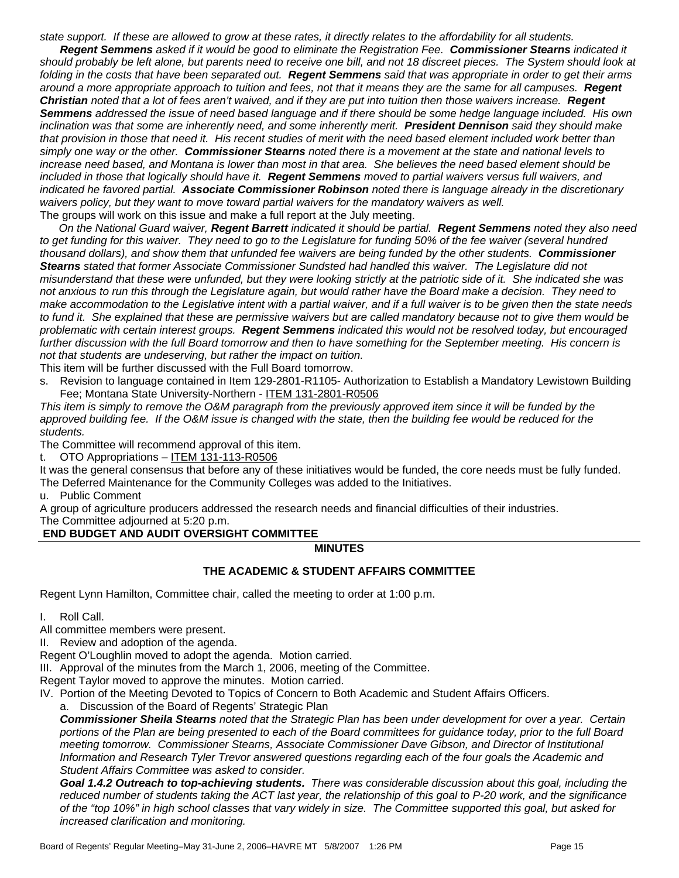*state support. If these are allowed to grow at these rates, it directly relates to the affordability for all students.* 

*Regent Semmens asked if it would be good to eliminate the Registration Fee. Commissioner Stearns indicated it should probably be left alone, but parents need to receive one bill, and not 18 discreet pieces. The System should look at folding in the costs that have been separated out. Regent Semmens said that was appropriate in order to get their arms around a more appropriate approach to tuition and fees, not that it means they are the same for all campuses. Regent Christian noted that a lot of fees aren't waived, and if they are put into tuition then those waivers increase. Regent Semmens addressed the issue of need based language and if there should be some hedge language included. His own inclination was that some are inherently need, and some inherently merit. President Dennison said they should make that provision in those that need it. His recent studies of merit with the need based element included work better than simply one way or the other. Commissioner Stearns noted there is a movement at the state and national levels to increase need based, and Montana is lower than most in that area. She believes the need based element should be included in those that logically should have it. Regent Semmens moved to partial waivers versus full waivers, and indicated he favored partial. Associate Commissioner Robinson noted there is language already in the discretionary*  waivers policy, but they want to move toward partial waivers for the mandatory waivers as well. The groups will work on this issue and make a full report at the July meeting.

*On the National Guard waiver, Regent Barrett indicated it should be partial. Regent Semmens noted they also need to get funding for this waiver. They need to go to the Legislature for funding 50% of the fee waiver (several hundred thousand dollars), and show them that unfunded fee waivers are being funded by the other students. Commissioner Stearns stated that former Associate Commissioner Sundsted had handled this waiver. The Legislature did not misunderstand that these were unfunded, but they were looking strictly at the patriotic side of it. She indicated she was not anxious to run this through the Legislature again, but would rather have the Board make a decision. They need to make accommodation to the Legislative intent with a partial waiver, and if a full waiver is to be given then the state needs to fund it. She explained that these are permissive waivers but are called mandatory because not to give them would be problematic with certain interest groups. Regent Semmens indicated this would not be resolved today, but encouraged further discussion with the full Board tomorrow and then to have something for the September meeting. His concern is not that students are undeserving, but rather the impact on tuition.* 

This item will be further discussed with the Full Board tomorrow.

s. Revision to language contained in Item 129-2801-R1105- Authorization to Establish a Mandatory Lewistown Building Fee; Montana State University-Northern - ITEM 131-2801-R0506

*This item is simply to remove the O&M paragraph from the previously approved item since it will be funded by the*  approved building fee. If the O&M issue is changed with the state, then the building fee would be reduced for the *students.* 

The Committee will recommend approval of this item.

t. OTO Appropriations - ITEM 131-113-R0506

It was the general consensus that before any of these initiatives would be funded, the core needs must be fully funded. The Deferred Maintenance for the Community Colleges was added to the Initiatives.

u. Public Comment

A group of agriculture producers addressed the research needs and financial difficulties of their industries.

The Committee adjourned at 5:20 p.m.

#### **END BUDGET AND AUDIT OVERSIGHT COMMITTEE**

#### **MINUTES**

#### **THE ACADEMIC & STUDENT AFFAIRS COMMITTEE**

Regent Lynn Hamilton, Committee chair, called the meeting to order at 1:00 p.m.

I. Roll Call.

All committee members were present.

II. Review and adoption of the agenda.

Regent O'Loughlin moved to adopt the agenda. Motion carried.

III. Approval of the minutes from the March 1, 2006, meeting of the Committee.

Regent Taylor moved to approve the minutes. Motion carried.

IV. Portion of the Meeting Devoted to Topics of Concern to Both Academic and Student Affairs Officers.

a. Discussion of the Board of Regents' Strategic Plan

*Commissioner Sheila Stearns noted that the Strategic Plan has been under development for over a year. Certain portions of the Plan are being presented to each of the Board committees for guidance today, prior to the full Board meeting tomorrow. Commissioner Stearns, Associate Commissioner Dave Gibson, and Director of Institutional Information and Research Tyler Trevor answered questions regarding each of the four goals the Academic and Student Affairs Committee was asked to consider.* 

*Goal 1.4.2 Outreach to top-achieving students. There was considerable discussion about this goal, including the reduced number of students taking the ACT last year, the relationship of this goal to P-20 work, and the significance of the "top 10%" in high school classes that vary widely in size. The Committee supported this goal, but asked for increased clarification and monitoring.*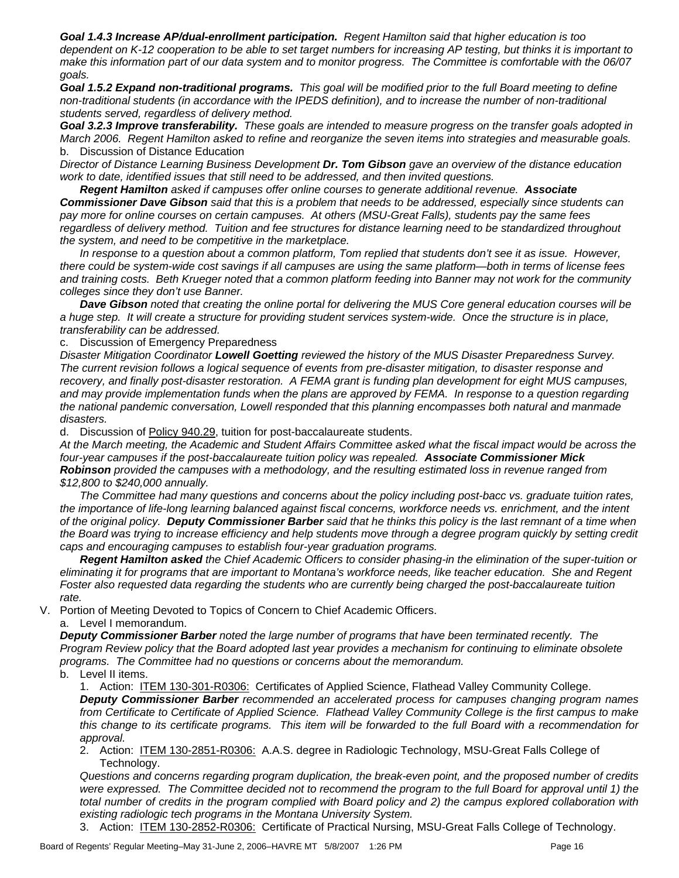*Goal 1.4.3 Increase AP/dual-enrollment participation. Regent Hamilton said that higher education is too dependent on K-12 cooperation to be able to set target numbers for increasing AP testing, but thinks it is important to make this information part of our data system and to monitor progress. The Committee is comfortable with the 06/07 goals.* 

*Goal 1.5.2 Expand non-traditional programs. This goal will be modified prior to the full Board meeting to define non-traditional students (in accordance with the IPEDS definition), and to increase the number of non-traditional students served, regardless of delivery method.* 

*Goal 3.2.3 Improve transferability. These goals are intended to measure progress on the transfer goals adopted in March 2006. Regent Hamilton asked to refine and reorganize the seven items into strategies and measurable goals.*  b. Discussion of Distance Education

*Director of Distance Learning Business Development Dr. Tom Gibson gave an overview of the distance education work to date, identified issues that still need to be addressed, and then invited questions.* 

*Regent Hamilton asked if campuses offer online courses to generate additional revenue. Associate Commissioner Dave Gibson said that this is a problem that needs to be addressed, especially since students can pay more for online courses on certain campuses. At others (MSU-Great Falls), students pay the same fees regardless of delivery method. Tuition and fee structures for distance learning need to be standardized throughout the system, and need to be competitive in the marketplace.* 

*In response to a question about a common platform, Tom replied that students don't see it as issue. However, there could be system-wide cost savings if all campuses are using the same platform—both in terms of license fees and training costs. Beth Krueger noted that a common platform feeding into Banner may not work for the community colleges since they don't use Banner.* 

*Dave Gibson noted that creating the online portal for delivering the MUS Core general education courses will be a huge step. It will create a structure for providing student services system-wide. Once the structure is in place, transferability can be addressed.* 

c. Discussion of Emergency Preparedness

*Disaster Mitigation Coordinator Lowell Goetting reviewed the history of the MUS Disaster Preparedness Survey. The current revision follows a logical sequence of events from pre-disaster mitigation, to disaster response and recovery, and finally post-disaster restoration. A FEMA grant is funding plan development for eight MUS campuses, and may provide implementation funds when the plans are approved by FEMA. In response to a question regarding the national pandemic conversation, Lowell responded that this planning encompasses both natural and manmade disasters.* 

d. Discussion of Policy 940.29, tuition for post-baccalaureate students.

*At the March meeting, the Academic and Student Affairs Committee asked what the fiscal impact would be across the four-year campuses if the post-baccalaureate tuition policy was repealed. Associate Commissioner Mick Robinson provided the campuses with a methodology, and the resulting estimated loss in revenue ranged from \$12,800 to \$240,000 annually.* 

*The Committee had many questions and concerns about the policy including post-bacc vs. graduate tuition rates, the importance of life-long learning balanced against fiscal concerns, workforce needs vs. enrichment, and the intent of the original policy. Deputy Commissioner Barber said that he thinks this policy is the last remnant of a time when*  the Board was trying to increase efficiency and help students move through a degree program quickly by setting credit *caps and encouraging campuses to establish four-year graduation programs.* 

*Regent Hamilton asked the Chief Academic Officers to consider phasing-in the elimination of the super-tuition or eliminating it for programs that are important to Montana's workforce needs, like teacher education. She and Regent Foster also requested data regarding the students who are currently being charged the post-baccalaureate tuition rate.* 

V. Portion of Meeting Devoted to Topics of Concern to Chief Academic Officers.

a. Level I memorandum.

*Deputy Commissioner Barber noted the large number of programs that have been terminated recently. The Program Review policy that the Board adopted last year provides a mechanism for continuing to eliminate obsolete programs. The Committee had no questions or concerns about the memorandum.* 

b. Level II items.

1. Action: ITEM 130-301-R0306: Certificates of Applied Science, Flathead Valley Community College. *Deputy Commissioner Barber recommended an accelerated process for campuses changing program names from Certificate to Certificate of Applied Science. Flathead Valley Community College is the first campus to make this change to its certificate programs. This item will be forwarded to the full Board with a recommendation for approval.* 

2. Action: ITEM 130-2851-R0306: A.A.S. degree in Radiologic Technology, MSU-Great Falls College of Technology.

*Questions and concerns regarding program duplication, the break-even point, and the proposed number of credits were expressed. The Committee decided not to recommend the program to the full Board for approval until 1) the total number of credits in the program complied with Board policy and 2) the campus explored collaboration with existing radiologic tech programs in the Montana University System.* 

3. Action: ITEM 130-2852-R0306: Certificate of Practical Nursing, MSU-Great Falls College of Technology.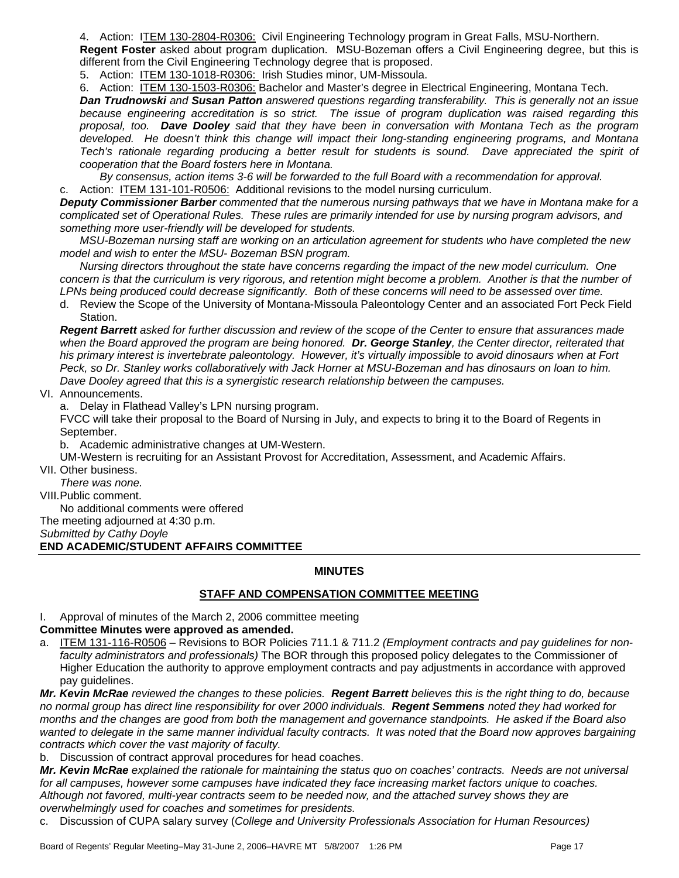4. Action: ITEM 130-2804-R0306: Civil Engineering Technology program in Great Falls, MSU-Northern. **Regent Foster** asked about program duplication. MSU-Bozeman offers a Civil Engineering degree, but this is

different from the Civil Engineering Technology degree that is proposed.

5. Action: ITEM 130-1018-R0306: Irish Studies minor, UM-Missoula.

6. Action: ITEM 130-1503-R0306: Bachelor and Master's degree in Electrical Engineering, Montana Tech.

*Dan Trudnowski and Susan Patton answered questions regarding transferability. This is generally not an issue because engineering accreditation is so strict. The issue of program duplication was raised regarding this proposal, too. Dave Dooley said that they have been in conversation with Montana Tech as the program developed. He doesn't think this change will impact their long-standing engineering programs, and Montana Tech's rationale regarding producing a better result for students is sound. Dave appreciated the spirit of cooperation that the Board fosters here in Montana.* 

*By consensus, action items 3-6 will be forwarded to the full Board with a recommendation for approval.* 

c. Action: ITEM 131-101-R0506: Additional revisions to the model nursing curriculum.

*Deputy Commissioner Barber commented that the numerous nursing pathways that we have in Montana make for a complicated set of Operational Rules. These rules are primarily intended for use by nursing program advisors, and something more user-friendly will be developed for students.* 

*MSU-Bozeman nursing staff are working on an articulation agreement for students who have completed the new model and wish to enter the MSU- Bozeman BSN program.* 

*Nursing directors throughout the state have concerns regarding the impact of the new model curriculum. One concern is that the curriculum is very rigorous, and retention might become a problem. Another is that the number of LPNs being produced could decrease significantly. Both of these concerns will need to be assessed over time.* 

d. Review the Scope of the University of Montana-Missoula Paleontology Center and an associated Fort Peck Field Station.

*Regent Barrett asked for further discussion and review of the scope of the Center to ensure that assurances made when the Board approved the program are being honored. Dr. George Stanley, the Center director, reiterated that his primary interest is invertebrate paleontology. However, it's virtually impossible to avoid dinosaurs when at Fort Peck, so Dr. Stanley works collaboratively with Jack Horner at MSU-Bozeman and has dinosaurs on loan to him. Dave Dooley agreed that this is a synergistic research relationship between the campuses.* 

VI. Announcements.

a. Delay in Flathead Valley's LPN nursing program.

FVCC will take their proposal to the Board of Nursing in July, and expects to bring it to the Board of Regents in September.

b. Academic administrative changes at UM-Western.

UM-Western is recruiting for an Assistant Provost for Accreditation, Assessment, and Academic Affairs.

VII. Other business.

*There was none.* 

VIII. Public comment.

No additional comments were offered

The meeting adjourned at 4:30 p.m.

*Submitted by Cathy Doyle* 

**END ACADEMIC/STUDENT AFFAIRS COMMITTEE**

# **MINUTES**

# **STAFF AND COMPENSATION COMMITTEE MEETING**

I. Approval of minutes of the March 2, 2006 committee meeting

# **Committee Minutes were approved as amended.**

a. ITEM 131-116-R0506 – Revisions to BOR Policies 711.1 & 711.2 *(Employment contracts and pay guidelines for nonfaculty administrators and professionals)* The BOR through this proposed policy delegates to the Commissioner of Higher Education the authority to approve employment contracts and pay adjustments in accordance with approved pay guidelines.

*Mr. Kevin McRae reviewed the changes to these policies. Regent Barrett believes this is the right thing to do, because no normal group has direct line responsibility for over 2000 individuals. Regent Semmens noted they had worked for months and the changes are good from both the management and governance standpoints. He asked if the Board also*  wanted to delegate in the same manner individual faculty contracts. It was noted that the Board now approves bargaining *contracts which cover the vast majority of faculty.* 

b. Discussion of contract approval procedures for head coaches.

*Mr. Kevin McRae explained the rationale for maintaining the status quo on coaches' contracts. Needs are not universal for all campuses, however some campuses have indicated they face increasing market factors unique to coaches. Although not favored, multi-year contracts seem to be needed now, and the attached survey shows they are overwhelmingly used for coaches and sometimes for presidents.* 

c. Discussion of CUPA salary survey (*College and University Professionals Association for Human Resources)*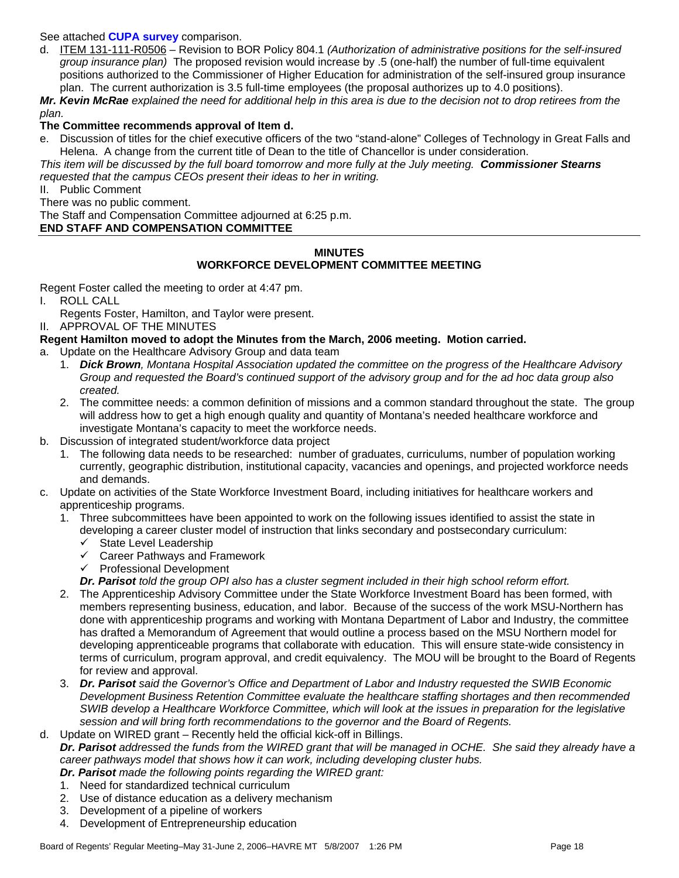#### See attached **CUPA survey** comparison.

d. ITEM 131-111-R0506 – Revision to BOR Policy 804.1 *(Authorization of administrative positions for the self-insured group insurance plan)* The proposed revision would increase by .5 (one-half) the number of full-time equivalent positions authorized to the Commissioner of Higher Education for administration of the self-insured group insurance plan. The current authorization is 3.5 full-time employees (the proposal authorizes up to 4.0 positions).

*Mr. Kevin McRae explained the need for additional help in this area is due to the decision not to drop retirees from the plan.* 

#### **The Committee recommends approval of Item d.**

e. Discussion of titles for the chief executive officers of the two "stand-alone" Colleges of Technology in Great Falls and Helena. A change from the current title of Dean to the title of Chancellor is under consideration.

*This item will be discussed by the full board tomorrow and more fully at the July meeting. Commissioner Stearns requested that the campus CEOs present their ideas to her in writing.* 

II. Public Comment

There was no public comment.

The Staff and Compensation Committee adjourned at 6:25 p.m.

# **END STAFF AND COMPENSATION COMMITTEE**

#### **MINUTES**

# **WORKFORCE DEVELOPMENT COMMITTEE MEETING**

Regent Foster called the meeting to order at 4:47 pm.

- I. ROLL CALL
	- Regents Foster, Hamilton, and Taylor were present.

II. APPROVAL OF THE MINUTES

#### **Regent Hamilton moved to adopt the Minutes from the March, 2006 meeting. Motion carried.**

- a. Update on the Healthcare Advisory Group and data team
	- 1. *Dick Brown, Montana Hospital Association updated the committee on the progress of the Healthcare Advisory Group and requested the Board's continued support of the advisory group and for the ad hoc data group also created.*
	- 2. The committee needs: a common definition of missions and a common standard throughout the state. The group will address how to get a high enough quality and quantity of Montana's needed healthcare workforce and investigate Montana's capacity to meet the workforce needs.
- b. Discussion of integrated student/workforce data project
	- 1. The following data needs to be researched: number of graduates, curriculums, number of population working currently, geographic distribution, institutional capacity, vacancies and openings, and projected workforce needs and demands.
- c. Update on activities of the State Workforce Investment Board, including initiatives for healthcare workers and apprenticeship programs.
	- 1. Three subcommittees have been appointed to work on the following issues identified to assist the state in developing a career cluster model of instruction that links secondary and postsecondary curriculum:
		- $\checkmark$  State Level Leadership
		- $\checkmark$  Career Pathways and Framework
		- $\checkmark$  Professional Development
		- *Dr. Parisot told the group OPI also has a cluster segment included in their high school reform effort.*
	- 2. The Apprenticeship Advisory Committee under the State Workforce Investment Board has been formed, with members representing business, education, and labor. Because of the success of the work MSU-Northern has done with apprenticeship programs and working with Montana Department of Labor and Industry, the committee has drafted a Memorandum of Agreement that would outline a process based on the MSU Northern model for developing apprenticeable programs that collaborate with education. This will ensure state-wide consistency in terms of curriculum, program approval, and credit equivalency. The MOU will be brought to the Board of Regents for review and approval.
	- 3. *Dr. Parisot said the Governor's Office and Department of Labor and Industry requested the SWIB Economic Development Business Retention Committee evaluate the healthcare staffing shortages and then recommended SWIB develop a Healthcare Workforce Committee, which will look at the issues in preparation for the legislative session and will bring forth recommendations to the governor and the Board of Regents.*

d. Update on WIRED grant – Recently held the official kick-off in Billings. *Dr. Parisot addressed the funds from the WIRED grant that will be managed in OCHE. She said they already have a career pathways model that shows how it can work, including developing cluster hubs.* 

- *Dr. Parisot made the following points regarding the WIRED grant:*
- 1. Need for standardized technical curriculum
- 2. Use of distance education as a delivery mechanism
- 3. Development of a pipeline of workers
- 4. Development of Entrepreneurship education